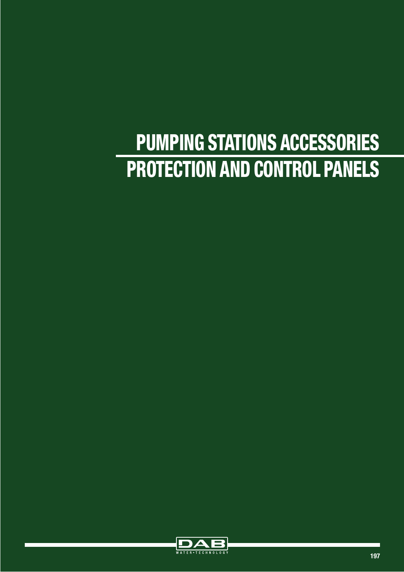# PUMPING STATIONS ACCESSORIES PROTECTION AND CONTROL PANELS

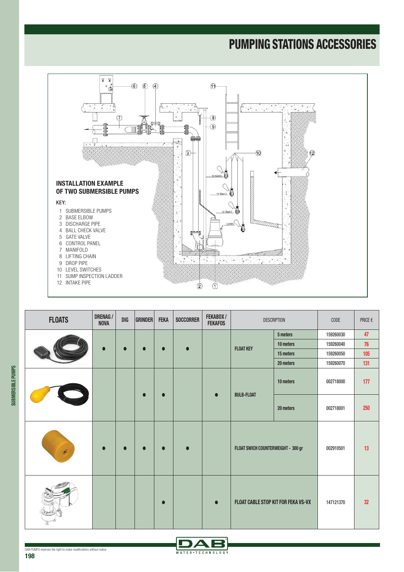

| <b>FLOATS</b> | <b>DRENAG/</b><br><b>NOVA</b> | DIG | <b>GRINDER</b> | <b>FEKA</b> | <b>SOCCORRER</b> | FEKABOX/<br><b>FEKAFOS</b> |                                     | <b>DESCRIPTION</b> | CODE      | PRICE $\epsilon$ |
|---------------|-------------------------------|-----|----------------|-------------|------------------|----------------------------|-------------------------------------|--------------------|-----------|------------------|
|               |                               |     |                |             |                  | 5 meters                   | 159260030                           | 47                 |           |                  |
|               | $\bullet$                     |     |                | $\bullet$   | $\bullet$        |                            | <b>FLOAT KEY</b>                    | 10 meters          | 159260040 | 76               |
|               |                               |     |                |             |                  |                            |                                     | 15 meters          | 159260050 | 105              |
|               |                               |     |                |             |                  |                            |                                     | 20 meters          | 159260070 | 131              |
|               |                               |     |                | $\bullet$   |                  | $\bullet$                  | <b>BULB-FLOAT</b>                   | 10 meters          | 002718000 | 177              |
|               |                               |     |                |             |                  |                            |                                     | 20 meters          | 002718001 | 250              |
| $\hat{C}$     |                               |     |                | $\bullet$   | $\bullet$        |                            | FLOAT SWICH COUNTERWEIGHT - 300 gr  |                    | 002910501 | 13               |
|               |                               |     |                | $\bullet$   |                  | $\bullet$                  | FLOAT CABLE STOP KIT FOR FEKA VS-VX |                    | 147121370 | 32 <sub>2</sub>  |

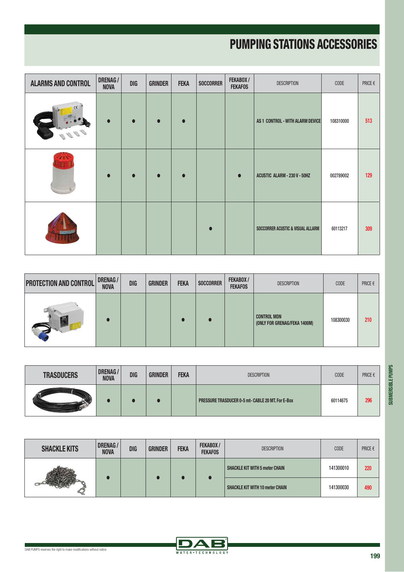| <b>ALARMS AND CONTROL</b> | <b>DRENAG/</b><br><b>NOVA</b> | <b>DIG</b> | <b>GRINDER</b> | <b>FEKA</b> | <b>SOCCORRER</b> | FEKABOX/<br><b>FEKAFOS</b> | <b>DESCRIPTION</b>                | CODE      | PRICE $\epsilon$ |
|---------------------------|-------------------------------|------------|----------------|-------------|------------------|----------------------------|-----------------------------------|-----------|------------------|
| $\epsilon$                | $\bullet$                     | $\bullet$  |                | $\bullet$   |                  |                            | AS 1 CONTROL - WITH ALARM DEVICE  | 108310000 | 513              |
|                           | $\bullet$                     | $\bullet$  |                | $\bullet$   |                  | $\bullet$                  | ACUSTIC ALARM - 230 V - 50HZ      | 002789002 | 129              |
|                           |                               |            |                |             |                  |                            | SOCCORRER ACUSTIC & VISUAL ALLARM | 60113217  | 309              |

| <b>PROTECTION AND CONTROL</b> | <b>DRENAG/</b><br><b>NOVA</b> | <b>DIG</b> | <b>GRINDER</b> | <b>FEKA</b> | <b>SOCCORRER</b> | FEKABOX/<br><b>FEKAFOS</b> | <b>DESCRIPTION</b>                                 | CODE      | PRICE $\epsilon$ |
|-------------------------------|-------------------------------|------------|----------------|-------------|------------------|----------------------------|----------------------------------------------------|-----------|------------------|
|                               |                               |            |                |             |                  |                            | <b>CONTROL MDN</b><br>(ONLY FOR GRENAG/FEKA 1400M) | 108300030 | 210              |

| <b>TRASDUCERS</b> | <b>DRENAG/</b><br><b>NOVA</b> | <b>DIG</b> | <b>GRINDER</b> | <b>FEKA</b> | <b>DESCRIPTION</b>                                       | <b>CODE</b> | PRICE $\epsilon$ |
|-------------------|-------------------------------|------------|----------------|-------------|----------------------------------------------------------|-------------|------------------|
|                   |                               |            |                |             | <b>PRESSURE TRASDUCER 0-5 mt- CABLE 20 MT. For E-Box</b> | 60114675    | 296              |

| <b>SHACKLE KITS</b> | <b>DRENAG/</b><br><b>NOVA</b> | <b>DIG</b> | <b>GRINDER</b> | <b>FEKA</b> | FEKABOX/<br><b>FEKAFOS</b> | <b>DESCRIPTION</b>                     | CODE      | PRICE $\epsilon$ |
|---------------------|-------------------------------|------------|----------------|-------------|----------------------------|----------------------------------------|-----------|------------------|
|                     |                               |            |                |             |                            | <b>SHACKLE KIT WITH 5 meter CHAIN</b>  | 141300010 | 220              |
|                     |                               |            |                |             |                            | <b>SHACKLE KIT WITH 10 meter CHAIN</b> | 141300030 | 490              |

DAB WATER • TECHNOLOGY

DAB PUMPS reserves the right to make modifications without notice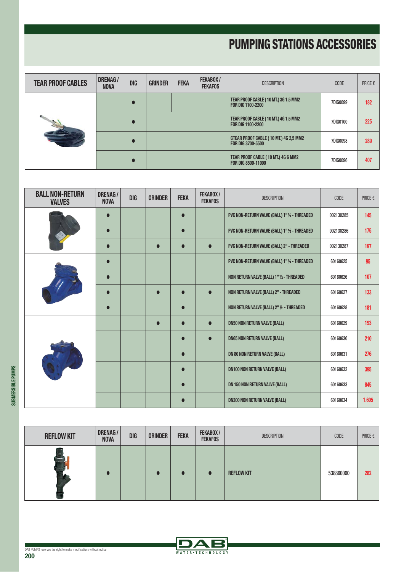| <b>TEAR PROOF CABLES</b> | <b>DRENAG/</b><br><b>NOVA</b> | <b>DIG</b> | <b>GRINDER</b> | <b>FEKA</b> | FEKABOX/<br><b>FEKAFOS</b> | <b>DESCRIPTION</b>                                                | <b>CODE</b>     | PRICE $\epsilon$ |
|--------------------------|-------------------------------|------------|----------------|-------------|----------------------------|-------------------------------------------------------------------|-----------------|------------------|
|                          |                               | $\bullet$  |                |             |                            | <b>TEAR PROOF CABLE (10 MT.) 3G 1,5 MM2</b><br>FOR DIG 1100-2200  | <b>7DIG0099</b> | 182              |
|                          |                               | $\bullet$  |                |             |                            | <b>TEAR PROOF CABLE (10 MT.) 4G 1,5 MM2</b><br>FOR DIG 1100-2200  | 7DIG0100        | 225              |
|                          |                               | $\bullet$  |                |             |                            | CTEAR PROOF CABLE (10 MT.) 4G 2,5 MM2<br><b>FOR DIG 3700-5500</b> | <b>7DIG0098</b> | 289              |
|                          |                               | $\bullet$  |                |             |                            | TEAR PROOF CABLE (10 MT.) 4G 6 MM2<br>FOR DIG 8500-11000          | 7DIG0096        | 407              |

| <b>BALL NON-RETURN</b><br><b>VALVES</b> | <b>DRENAG/</b><br><b>NOVA</b> | <b>DIG</b> | <b>GRINDER</b> | <b>FEKA</b> | FEKABOX/<br><b>FEKAFOS</b> | <b>DESCRIPTION</b>                            | CODE      | PRICE $\epsilon$ |
|-----------------------------------------|-------------------------------|------------|----------------|-------------|----------------------------|-----------------------------------------------|-----------|------------------|
|                                         | $\bullet$                     |            |                | $\bullet$   |                            | PVC NON-RETURN VALVE (BALL) 1" 1/4 - THREADED | 002130285 | 145              |
|                                         | $\bullet$                     |            |                | $\bullet$   |                            | PVC NON-RETURN VALVE (BALL) 1" 1/2 - THREADED | 002130286 | 175              |
|                                         | $\bullet$                     |            | $\bullet$      | $\bullet$   | $\bullet$                  | PVC NON-RETURN VALVE (BALL) 2" - THREADED     | 002130287 | 197              |
|                                         | $\bullet$                     |            |                |             |                            | PVC NON-RETURN VALVE (BALL) 1" 1/4 - THREADED | 60160625  | 95               |
|                                         | $\bullet$                     |            |                |             |                            | NON RETURN VALVE (BALL) 1" 1/2 - THREADED     | 60160626  | 107              |
|                                         | $\bullet$                     |            | $\bullet$      | $\bullet$   |                            | NON RETURN VALVE (BALL) 2" - THREADED         | 60160627  | 133              |
|                                         | $\bullet$                     |            |                | $\bullet$   |                            | NON RETURN VALVE (BALL) 2" 1/2 - THREADED     | 60160628  | 181              |
|                                         |                               |            |                | $\bullet$   |                            | <b>DN50 NON RETURN VALVE (BALL)</b>           | 60160629  | 193              |
|                                         |                               |            |                | $\bullet$   | $\bullet$                  | <b>DN65 NON RETURN VALVE (BALL)</b>           | 60160630  | 210              |
|                                         |                               |            |                | $\bullet$   |                            | <b>DN 80 NON RETURN VALVE (BALL)</b>          | 60160631  | 276              |
|                                         |                               |            |                | $\bullet$   |                            | <b>DN100 NON RETURN VALVE (BALL)</b>          | 60160632  | 395              |
|                                         |                               |            |                | $\bullet$   |                            | <b>DN 150 NON RETURN VALVE (BALL)</b>         | 60160633  | 845              |
|                                         |                               |            |                |             |                            | <b>DN200 NON RETURN VALVE (BALL)</b>          | 60160634  | 1.605            |

| <b>REFLOW KIT</b> | DRENAG/<br><b>NOVA</b> | <b>DIG</b> | <b>GRINDER</b> | <b>FEKA</b> | FEKABOX/<br><b>FEKAFOS</b> | <b>DESCRIPTION</b> | <b>CODE</b> | PRICE $\epsilon$ |
|-------------------|------------------------|------------|----------------|-------------|----------------------------|--------------------|-------------|------------------|
| $-$               |                        |            |                |             |                            | <b>REFLOW KIT</b>  | 538860000   | 282              |

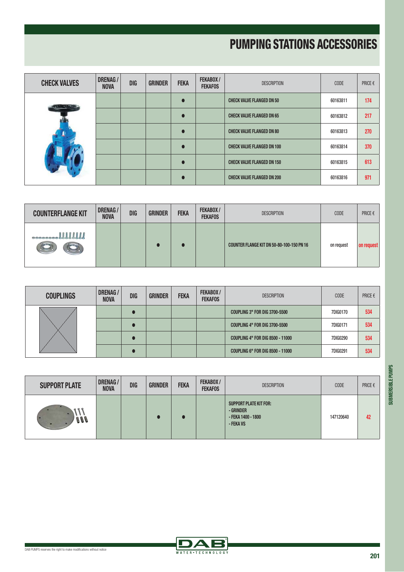| <b>CHECK VALVES</b> | <b>DRENAG/</b><br><b>NOVA</b> | <b>DIG</b> | <b>GRINDER</b> | <b>FEKA</b> | FEKABOX/<br><b>FEKAFOS</b> | <b>DESCRIPTION</b>                | <b>CODE</b> | PRICE $\epsilon$ |
|---------------------|-------------------------------|------------|----------------|-------------|----------------------------|-----------------------------------|-------------|------------------|
|                     |                               |            |                | Г           |                            | <b>CHECK VALVE FLANGED DN 50</b>  | 60163811    | 174              |
|                     |                               |            |                | Г           |                            | <b>CHECK VALVE FLANGED DN 65</b>  | 60163812    | 217              |
|                     |                               |            |                |             |                            | <b>CHECK VALVE FLANGED DN 80</b>  | 60163813    | 270              |
|                     |                               |            |                | Г           |                            | <b>CHECK VALVE FLANGED DN 100</b> | 60163814    | 370              |
|                     |                               |            |                | Г           |                            | <b>CHECK VALVE FLANGED DN 150</b> | 60163815    | 613              |
|                     |                               |            |                |             |                            | <b>CHECK VALVE FLANGED DN 200</b> | 60163816    | 971              |

| <b>COUNTERFLANGE KIT</b> | <b>DRENAG/</b><br><b>NOVA</b> | <b>DIG</b> | <b>GRINDER</b> | <b>FEKA</b> | <b>FEKABOX/</b><br><b>FEKAFOS</b> | <b>DESCRIPTION</b>                        | <b>CODE</b> | PRICE $\epsilon$ |
|--------------------------|-------------------------------|------------|----------------|-------------|-----------------------------------|-------------------------------------------|-------------|------------------|
| <b>MIIIIII</b>           |                               |            |                |             |                                   | COUNTER FLANGE KIT DN 50-80-100-150 PN 16 | on request  | on request       |

| <b>COUPLINGS</b> | <b>DRENAG/</b><br><b>NOVA</b> | <b>DIG</b> | <b>GRINDER</b> | <b>FEKA</b> | FEKABOX/<br><b>FEKAFOS</b> | <b>DESCRIPTION</b>                      | CODE            | PRICE $\epsilon$ |
|------------------|-------------------------------|------------|----------------|-------------|----------------------------|-----------------------------------------|-----------------|------------------|
|                  |                               |            |                |             |                            | <b>COUPLING 3" FOR DIG 3700-5500</b>    | 7DIG0170        | 534              |
|                  |                               |            |                |             |                            | <b>COUPLING 4" FOR DIG 3700-5500</b>    | 7DIG0171        | 534              |
|                  |                               |            |                |             |                            | <b>COUPLING 4" FOR DIG 8500 - 11000</b> | 7DIG0290        | 534              |
|                  |                               |            |                |             |                            | <b>COUPLING 6" FOR DIG 8500 - 11000</b> | <b>7DIG0291</b> | 534              |

| <b>SUPPORT PLATE</b> | <b>DRENAG/</b><br><b>NOVA</b> | <b>DIG</b> | <b>GRINDER</b> | <b>FEKA</b> | FEKABOX/<br><b>FEKAFOS</b> | <b>DESCRIPTION</b>                                                            | <b>CODE</b> | PRICE $\epsilon$ |
|----------------------|-------------------------------|------------|----------------|-------------|----------------------------|-------------------------------------------------------------------------------|-------------|------------------|
| 11 J                 |                               |            |                |             |                            | <b>SUPPORT PLATE KIT FOR:</b><br>- GRINDER<br>- FEKA 1400 - 1800<br>- FEKA VS | 147120640   | 42               |

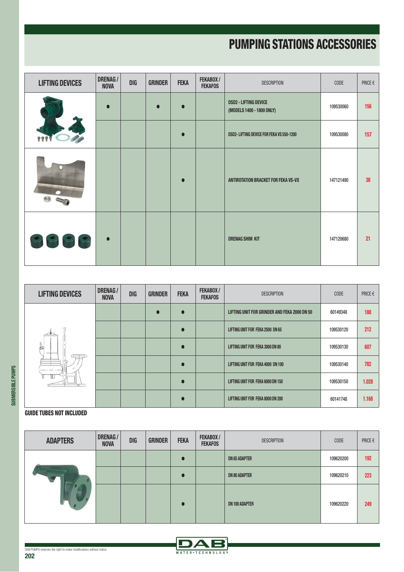| <b>LIFTING DEVICES</b> | <b>DRENAG/</b><br><b>NOVA</b> | <b>DIG</b> | <b>GRINDER</b> | <b>FEKA</b> | FEKABOX/<br><b>FEKAFOS</b> | <b>DESCRIPTION</b>                                        | CODE      | PRICE $\epsilon$ |
|------------------------|-------------------------------|------------|----------------|-------------|----------------------------|-----------------------------------------------------------|-----------|------------------|
|                        | $\bullet$                     |            |                |             |                            | <b>DSD2 - LIFTING DEVICE</b><br>(MODELS 1400 - 1800 ONLY) | 109530060 | 156              |
| 777                    |                               |            |                |             |                            | DSD2- LIFTING DEVICE FOR FEKA VS 550-1200                 | 109530080 | 157              |
|                        |                               |            |                |             |                            | ANTIROTATION BRACKET FOR FEKA VS-VX                       | 147121490 | 38               |
| 9999                   | $\bullet$                     |            |                |             |                            | <b>DRENAG SHIM KIT</b>                                    | 147120680 | 21               |

| <b>LIFTING DEVICES</b> | <b>DRENAG/</b><br><b>NOVA</b> | <b>DIG</b> | <b>GRINDER</b> | <b>FEKA</b> | FEKABOX/<br><b>FEKAFOS</b> | <b>DESCRIPTION</b>                           | <b>CODE</b> | PRICE $\epsilon$ |
|------------------------|-------------------------------|------------|----------------|-------------|----------------------------|----------------------------------------------|-------------|------------------|
|                        |                               |            |                |             |                            | LIFTING UNIT FOR GRINDER AND FEKA 2000 DN 50 | 60149348    | 188              |
|                        |                               |            |                |             |                            | LIFTING UNIT FOR FEKA 2500 DN 65             | 109530120   | 212              |
| ₫                      |                               |            |                |             |                            | LIFTING UNIT FOR FEKA 3000 DN 80             | 109530130   | 607              |
|                        |                               |            |                |             |                            | LIFTING UNIT FOR FEKA 4000 DN 100            | 109530140   | 782              |
| Ш                      |                               |            |                |             |                            | LIFTING UNIT FOR FEKA 6000 DN 150            | 109530150   | 1.028            |
|                        |                               |            |                |             |                            | LIFTING UNIT FOR FEKA 8000 DN 200            | 60141748    | 1.168            |

#### GUIDE TUBES NOT INCLUDED

**SUBMERSIBLE PUMPS**

SUBMERSIBLE PUMPS

| <b>ADAPTERS</b> | DRENAG /<br><b>NOVA</b> | <b>DIG</b> | <b>GRINDER</b> | <b>FEKA</b> | FEKABOX/<br><b>FEKAFOS</b> | <b>DESCRIPTION</b>    | <b>CODE</b> | PRICE $\epsilon$ |
|-----------------|-------------------------|------------|----------------|-------------|----------------------------|-----------------------|-------------|------------------|
|                 |                         |            |                |             |                            | <b>DN 65 ADAPTER</b>  | 109620200   | 192              |
|                 |                         |            |                |             |                            | <b>DN 80 ADAPTER</b>  | 109620210   | 223              |
|                 |                         |            |                |             |                            | <b>DN 100 ADAPTER</b> | 109620220   | 249              |

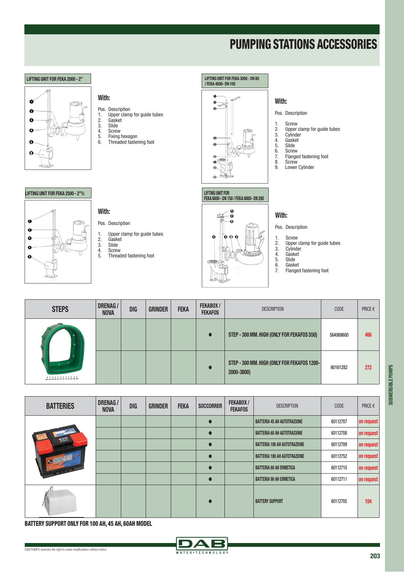

| <b>STEPS</b> | <b>DRENAG/</b><br><b>NOVA</b> | <b>DIG</b> | <b>GRINDER</b> | <b>FEKA</b> | FEKABOX/<br><b>DESCRIPTION</b><br><b>FEKAFOS</b> |                                                           | <b>CODE</b> | PRICE $\epsilon$ |
|--------------|-------------------------------|------------|----------------|-------------|--------------------------------------------------|-----------------------------------------------------------|-------------|------------------|
|              |                               |            |                |             |                                                  | STEP - 300 MM. HIGH (ONLY FOR FEKAFOS 550)                | 564069600   | 466              |
|              |                               |            |                |             |                                                  | STEP - 300 MM. HIGH (ONLY FOR FEKAFOS 1200-<br>2000-3800) | 60161282    | 272              |

| <b>BATTERIES</b>  | <b>DRENAG/</b><br><b>NOVA</b> | <b>DIG</b> | <b>GRINDER</b> | <b>FEKA</b> | <b>SOCCORRER</b> | FEKABOX/<br><b>FEKAFOS</b> | <b>DESCRIPTION</b>                  | <b>CODE</b> | PRICE $\epsilon$ |
|-------------------|-------------------------------|------------|----------------|-------------|------------------|----------------------------|-------------------------------------|-------------|------------------|
|                   |                               |            |                |             |                  |                            | <b>BATTERIA 45 AH AUTOTRAZIONE</b>  | 60112707    | on request       |
|                   |                               |            |                |             |                  |                            | <b>BATTERIA 60 AH AUTOTRAZIONE</b>  | 60112708    | on request       |
|                   |                               |            |                |             |                  |                            | <b>BATTERIA 100 AH AUTOTRAZIONE</b> | 60112709    | on request       |
| <b>DID</b>        |                               |            |                |             |                  |                            | <b>BATTERIA 180 AH AUTOTRAZIONE</b> | 60112752    | on request       |
|                   |                               |            |                |             |                  |                            | <b>BATTERIA 60 AH ERMETICA</b>      | 60112710    | on request       |
|                   |                               |            |                |             |                  |                            | <b>BATTERIA 90 AH ERMETICA</b>      | 60112711    | on request       |
| <b>COLLECTION</b> |                               |            |                |             |                  |                            | <b>BATTERY SUPPORT</b>              | 60112705    | 104              |

BATTERY SUPPORT ONLY FOR 100 AH, 45 AH, 60AH MODEL



**SUBMERSIBLE PUMPS**

SUBMERSIBLE PUMPS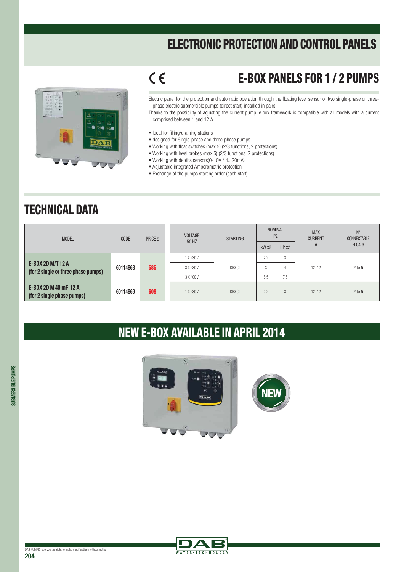

### E-BOX PANELS FOR 1 / 2 PUMPS

Electric panel for the protection and automatic operation through the floating level sensor or two single-phase or threephase electric submersible pumps (direct start) installed in pairs.

Thanks to the possibility of adjusting the current pump, e.box framework is compatible with all models with a current comprised between 1 and 12 A

• Ideal for filling/draining stations

 $C \in$ 

- designed for Single-phase and three-phase pumps
- Working with float switches (max.5) (2/3 functions, 2 protections)
- Working with level probes (max.5)  $(2/3$  functions, 2 protections)
- Working with depths sensors(0-10V / 4...20mA)
- Adjustable integrated Amperometric protection
- Exchange of the pumps starting order (each start)

#### TECHNICAL DATA

| <b>MODEL</b>                                                    | <b>CODE</b> | PRICE € | <b>VOLTAGE</b><br>50 HZ | <b>STARTING</b> | <b>NOMINAL</b><br>P <sub>2</sub> |                           | <b>MAX</b><br><b>CURRENT</b> | $N^{\circ}$<br>CONNECTABLE |  |
|-----------------------------------------------------------------|-------------|---------|-------------------------|-----------------|----------------------------------|---------------------------|------------------------------|----------------------------|--|
|                                                                 |             |         |                         |                 | kWx2                             | HP X2                     | A                            | <b>FLOATS</b>              |  |
|                                                                 |             |         | 1 X 230 V               |                 | 2.2                              | $\sim$<br>-5              |                              |                            |  |
| <b>E-BOX 2D M/T 12 A</b><br>(for 2 single or three phase pumps) | 60114868    | 585     | 3 X 230 V               | <b>DIRECT</b>   | 3                                |                           | $12 + 12$                    | 2 to 5                     |  |
|                                                                 |             |         | 3 X 400 V               |                 | 5.5                              | 7.5                       |                              |                            |  |
| E-BOX 2D M 40 mF 12 A<br>(for 2 single phase pumps)             | 60114869    | 609     | 1 X 230 V               | <b>DIRECT</b>   | 2.2                              | $\Omega$<br>$\mathcal{L}$ | $12 + 12$                    | 2 to 5                     |  |

#### NEW E-BOX AVAILABLE IN APRIL 2014



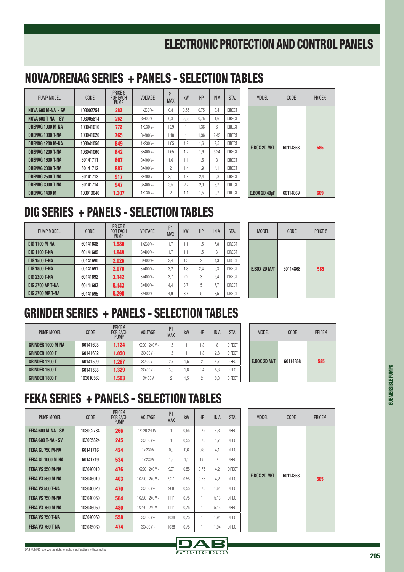#### NOVA/DRENAG SERIES + PANELS - SELECTION TABLES

| PUMP MODEL                | <b>CODE</b> | PRICE $\epsilon$<br><b>FOR EACH</b><br><b>PUMP</b> | <b>VOLTAGE</b> | P <sub>1</sub><br><b>MAX</b> | kW   | HP   | <b>IN A</b> | STA.          |
|---------------------------|-------------|----------------------------------------------------|----------------|------------------------------|------|------|-------------|---------------|
| <b>NOVA 600 M-NA - SV</b> | 103002754   | 282                                                | $1x230V -$     | 0.8                          | 0.55 | 0.75 | 3.4         | <b>DIRECT</b> |
| <b>NOVA 600 T-NA - SV</b> | 103005814   | 262                                                | $3x400V -$     | 0.8                          | 0.55 | 0.75 | 1.6         | <b>DIRFCT</b> |
| DRENAG 1000 M-NA          | 103041010   | 772                                                | $1X230V -$     | 1.29                         |      | 1.36 | 6           | <b>DIRFCT</b> |
| DRENAG 1000 T-NA          | 103041020   | 765                                                | $3X400V -$     | 1,18                         |      | 1.36 | 2.43        | <b>DIRFCT</b> |
| <b>DRENAG 1200 M-NA</b>   | 103041050   | 849                                                | 1X230V~        | 1.85                         | 1.2  | 1.6  | 7.5         | <b>DIRFCT</b> |
| DRENAG 1200 T-NA          | 103041060   | 842                                                | $3X400V -$     | 1.65                         | 1.2  | 1.6  | 3.24        | <b>DIRFCT</b> |
| <b>DRENAG 1600 T-NA</b>   | 60141711    | 867                                                | $3X400V -$     | 1,6                          | 1.1  | 1.5  | 3           | <b>DIRFCT</b> |
| DRENAG 2000 T-NA          | 60141712    | 887                                                | $3X400V -$     | 2                            | 1.4  | 1.9  | 4.1         | <b>DIRFCT</b> |
| DRENAG 2500 T-NA          | 60141713    | 917                                                | $3X400V -$     | 3.1                          | 1.8  | 2.4  | 5.3         | <b>DIRFCT</b> |
| DRENAG 3000 T-NA          | 60141714    | 947                                                | $3X400V -$     | 3.5                          | 2,2  | 2.9  | 6.2         | <b>DIRFCT</b> |
| DRENAG 1400 M             | 103010040   | 1.307                                              | $1X230V -$     | 2                            | 1.1  | 1.5  | 9,2         | <b>DIRECT</b> |

| <b>MODEL</b>         | <b>CODE</b> | PRICE € |
|----------------------|-------------|---------|
| <b>E.BOX 2D M/T</b>  | 60114868    | 585     |
| <b>E.BOX 2D 40µF</b> | 60114869    | 609     |

#### DIG SERIES + PANELS - SELECTION TABLES

| PUMP MODEL              | CODE     | PRICE $\epsilon$<br><b>FOR EACH</b><br><b>PUMP</b> | <b>VOLTAGE</b> | P <sub>1</sub><br><b>MAX</b> | kW  | HP  | <b>IN A</b> | STA.          |   |
|-------------------------|----------|----------------------------------------------------|----------------|------------------------------|-----|-----|-------------|---------------|---|
| <b>DIG 1100 M-NA</b>    | 60141688 | 1.980                                              | $1X230V -$     | 1.7                          | 1.1 | 1.5 | 7.8         | <b>DIRFCT</b> |   |
| <b>DIG 1100 T-NA</b>    | 60141689 | 1.949                                              | $3X400V -$     | 1.7                          | 1.1 | 1.5 | 3           | <b>DIRECT</b> |   |
| <b>DIG 1500 T-NA</b>    | 60141690 | 2.026                                              | $3X400V -$     | 2,4                          | 1.5 | 2   | 4,3         | <b>DIRECT</b> |   |
| <b>DIG 1800 T-NA</b>    | 60141691 | 2.070                                              | $3X400V -$     | 3.2                          | 1.8 | 2.4 | 5.3         | <b>DIRECT</b> | Е |
| <b>DIG 2200 T-NA</b>    | 60141692 | 2.142                                              | $3X400V -$     | 3.7                          | 2.2 | 3   | 6.4         | <b>DIRECT</b> |   |
| <b>DIG 3700 AP T-NA</b> | 60141693 | 5.143                                              | $3X400V -$     | 4,4                          | 3.7 | 5   | 7.7         | <b>DIRFCT</b> |   |
| <b>DIG 3700 MP T-NA</b> | 60141695 | 5.298                                              | 3X400V~        | 4,9                          | 3,7 | 5   | 8.5         | <b>DIRECT</b> |   |

| <b>MODEL</b>        | <b>CODE</b> | PRICE € |
|---------------------|-------------|---------|
| <b>E.BOX 2D M/T</b> | 60114868    | 585     |

#### GRINDER SERIES + PANELS - SELECTION TABLES

| PUMP MODEL               | <b>CODE</b> | <b>PRICE €</b><br><b>FOR EACH</b><br><b>PUMP</b> | <b>VOLTAGE</b>   | P <sub>1</sub><br><b>MAX</b> | kW | HP  | <b>IN A</b> | STA.          |
|--------------------------|-------------|--------------------------------------------------|------------------|------------------------------|----|-----|-------------|---------------|
| <b>GRINDER 1000 M-NA</b> | 60141603    | 1.124                                            | $1X220 - 240V -$ | 1.5                          |    | 1,3 | 8           | <b>DIRFCT</b> |
| <b>GRINDER 1000 T</b>    | 60141602    | 1.050                                            | $3X400V -$       | .6                           |    | i.3 | 2.8         | <b>DIRFCT</b> |
| <b>GRINDER 1200 T</b>    | 60141599    | 1.267                                            | $3X400V -$       | 2.7                          | .5 | 2   | 4.7         | <b>DIRECT</b> |
| <b>GRINDER 1600 T</b>    | 60141588    | 1.329                                            | $3X400V -$       | 3,3                          | .8 | 2.4 | 5.8         | <b>DIRECT</b> |
| <b>GRINDER 1800 T</b>    | 103010560   | 1.503                                            | 3X400V           | 2                            | .5 | 2   | 3,8         | <b>DIRECT</b> |

| <b>MODEL</b>        | <b>CODE</b> | <b>PRICE €</b> |
|---------------------|-------------|----------------|
| <b>E.BOX 2D M/T</b> | 60114868    | 585            |

#### FEKA SERIES + PANELS - SELECTION TABLES

| PUMP MODEL         | CODE      | PRICE $\epsilon$<br><b>FOR EACH</b><br><b>PUMP</b> | <b>VOLTAGE</b>   | P <sub>1</sub><br><b>MAX</b> | kW   | HP   | <b>IN A</b>    | STA.          |
|--------------------|-----------|----------------------------------------------------|------------------|------------------------------|------|------|----------------|---------------|
| FEKA 600 M-NA - SV | 103002784 | 266                                                | 1X220-240V~      | 1                            | 0.55 | 0.75 | 4.3            | <b>DIRFCT</b> |
| FEKA 600 T-NA - SV | 103005824 | 245                                                | $3X400V -$       | 1                            | 0.55 | 0.75 | 1.7            | <b>DIRECT</b> |
| FEKA GL 750 M-NA   | 60141716  | 424                                                | 1x 230 V         | 0.9                          | 0.6  | 0.8  | 4.1            | <b>DIRECT</b> |
| FEKA GL 1000 M-NA  | 60141719  | 534                                                | 1x 230 V         | 1.6                          | 1.1  | 1.5  | $\overline{7}$ | <b>DIRFCT</b> |
| FEKA VS 550 M-NA   | 103040010 | 476                                                | $1X220 - 240V -$ | 927                          | 0,55 | 0.75 | 4.2            | <b>DIRECT</b> |
| FEKA VX 550 M-NA   | 103045010 | 403                                                | $1X220 - 240V -$ | 927                          | 0.55 | 0.75 | 4.2            | <b>DIRECT</b> |
| FEKA VS 550 T-NA   | 103040020 | 470                                                | $3X400V -$       | 900                          | 0.55 | 0.75 | 1.64           | <b>DIRECT</b> |
| FEKA VS 750 M-NA   | 103040050 | 564                                                | $1X220 - 240V -$ | 1111                         | 0.75 |      | 5.13           | <b>DIRECT</b> |
| FEKA VX 750 M-NA   | 103045050 | 480                                                | $1X220 - 240V -$ | 1111                         | 0.75 |      | 5.13           | <b>DIRECT</b> |
| FEKA VS 750 T-NA   | 103040060 | 558                                                | $3X400V -$       | 1038                         | 0,75 |      | 1.94           | <b>DIRECT</b> |
| FEKA VX 750 T-NA   | 103045060 | 474                                                | 3X400V~          | 1038                         | 0.75 |      | 1.94           | <b>DIRECT</b> |

| <b>MODEL</b>        | <b>CODE</b> | PRICE € |
|---------------------|-------------|---------|
| <b>E.BOX 2D M/T</b> | 60114868    | 585     |



**SUBMERSIBLE PUMPS**

SUBMERSIBLE PUMPS

DA E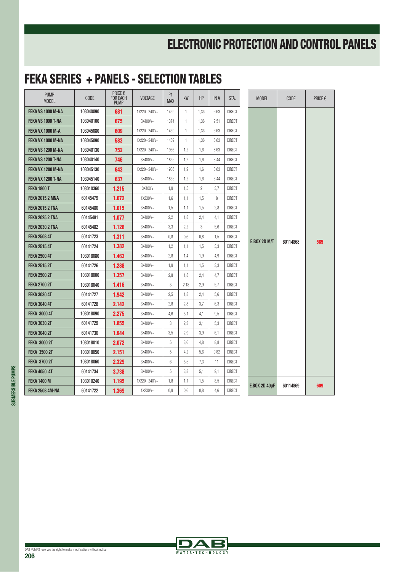| <b>PUMP</b><br><b>MODEL</b> | <b>CODE</b> | PRICE $\epsilon$<br><b>FOR EACH</b><br><b>PUMP</b> | <b>VOLTAGE</b> | P <sub>1</sub><br><b>MAX</b> | <b>kW</b>    | HP   | IN A | STA.          |                      | <b>MODEL</b> | <b>CODE</b> | PRICE $\epsilon$ |
|-----------------------------|-------------|----------------------------------------------------|----------------|------------------------------|--------------|------|------|---------------|----------------------|--------------|-------------|------------------|
| FEKA VS 1000 M-NA           | 103040090   | 681                                                | 1X220 - 240 V~ | 1469                         | $\mathbf{1}$ | 1,36 | 6,63 | <b>DIRECT</b> |                      |              |             |                  |
| FEKA VS 1000 T-NA           | 103040100   | 675                                                | 3X400V~        | 1374                         | 1            | 1,36 | 2,51 | <b>DIRECT</b> |                      |              |             |                  |
| <b>FEKA VX 1000 M-A</b>     | 103045080   | 609                                                | 1X220 - 240 V~ | 1469                         | 1            | 1,36 | 6,63 | <b>DIRECT</b> |                      |              |             |                  |
| FEKA VX 1000 M-NA           | 103045090   | 583                                                | 1X220 - 240 V~ | 1469                         | 1            | 1,36 | 6,63 | <b>DIRECT</b> |                      |              |             |                  |
| FEKA VS 1200 M-NA           | 103040130   | 752                                                | 1X220 - 240 V~ | 1936                         | 1,2          | 1,6  | 8,63 | <b>DIRECT</b> |                      |              |             |                  |
| FEKA VS 1200 T-NA           | 103040140   | 746                                                | 3X400V~        | 1865                         | 1,2          | 1,6  | 3,44 | <b>DIRECT</b> |                      |              |             |                  |
| FEKA VX 1200 M-NA           | 103045130   | 643                                                | 1X220 - 240 V~ | 1936                         | 1,2          | 1,6  | 8,63 | <b>DIRECT</b> |                      |              |             |                  |
| FEKA VX 1200 T-NA           | 103045140   | 637                                                | 3X400V~        | 1865                         | 1,2          | 1,6  | 3,44 | <b>DIRECT</b> |                      |              |             |                  |
| <b>FEKA 1800 T</b>          | 103010360   | 1.215                                              | 3X400V         | 1,9                          | 1,5          | 2    | 3,7  | <b>DIRECT</b> |                      |              |             |                  |
| <b>FEKA 2015.2 MNA</b>      | 60145479    | 1.072                                              | 1X230V~        | 1,6                          | 1,1          | 1,5  | 8    | <b>DIRECT</b> |                      |              |             |                  |
| <b>FEKA 2015.2 TNA</b>      | 60145480    | 1.015                                              | 3X400V~        | 1,5                          | 1,1          | 1,5  | 2,8  | <b>DIRECT</b> |                      |              |             |                  |
| <b>FEKA 2025.2 TNA</b>      | 60145481    | 1.077                                              | 3X400V~        | 2,2                          | 1,8          | 2,4  | 4,1  | <b>DIRECT</b> |                      |              |             |                  |
| <b>FEKA 2030.2 TNA</b>      | 60145482    | 1.128                                              | 3X400V~        | 3,3                          | 2,2          | 3    | 5,6  | <b>DIRECT</b> | <b>E.BOX 2D M/T</b>  |              |             |                  |
| <b>FEKA 2508.4T</b>         | 60141723    | 1.311                                              | 3X400V~        | 0,8                          | 0,6          | 0,8  | 1,5  | <b>DIRECT</b> |                      |              | 60114868    | 585              |
| <b>FEKA 2515.4T</b>         | 60141724    | 1.382                                              | 3X400V~        | 1,2                          | 1,1          | 1,5  | 3,3  | <b>DIRECT</b> |                      |              |             |                  |
| <b>FEKA 2500.4T</b>         | 103018080   | 1.463                                              | 3X400V~        | 2,8                          | 1,4          | 1,9  | 4,9  | <b>DIRECT</b> |                      |              |             |                  |
| <b>FEKA 2515.2T</b>         | 60141726    | 1.288                                              | 3X400V~        | 1,9                          | 1,1          | 1,5  | 3,3  | <b>DIRECT</b> |                      |              |             |                  |
| <b>FEKA 2500.2T</b>         | 103018000   | 1.357                                              | 3X400V~        | 2,8                          | 1,8          | 2,4  | 4,7  | <b>DIRECT</b> |                      |              |             |                  |
| <b>FEKA 2700.2T</b>         | 103018040   | 1.416                                              | 3X400V~        | 3                            | 2,18         | 2,9  | 5,7  | <b>DIRECT</b> |                      |              |             |                  |
| <b>FEKA 3030.4T</b>         | 60141727    | 1.942                                              | 3X400V~        | 2,5                          | 1,8          | 2,4  | 5,6  | <b>DIRECT</b> |                      |              |             |                  |
| <b>FEKA 3040.4T</b>         | 60141728    | 2.142                                              | 3X400V~        | 2,8                          | 2,8          | 3,7  | 6,3  | <b>DIRECT</b> |                      |              |             |                  |
| <b>FEKA 3000.4T</b>         | 103018090   | 2.275                                              | 3X400V~        | 4,6                          | 3,1          | 4,1  | 9,5  | <b>DIRECT</b> |                      |              |             |                  |
| <b>FEKA 3030.2T</b>         | 60141729    | 1.855                                              | 3X400V~        | 3                            | 2.3          | 3,1  | 5,3  | <b>DIRECT</b> |                      |              |             |                  |
| <b>FEKA 3040.2T</b>         | 60141730    | 1.944                                              | 3X400V~        | 3,5                          | 2.9          | 3,9  | 6,1  | <b>DIRECT</b> |                      |              |             |                  |
| <b>FEKA 3000.2T</b>         | 103018010   | 2.072                                              | 3X400V~        | 5                            | 3,6          | 4,8  | 8,8  | <b>DIRECT</b> | <b>E.BOX 2D 40µF</b> |              |             |                  |
| <b>FEKA 3500.2T</b>         | 103018050   | 2.151                                              | 3X400V~        | 5                            | 4,2          | 5,6  | 9,82 | <b>DIRECT</b> |                      |              |             |                  |
| <b>FEKA 3700.2T</b>         | 103018060   | 2.329                                              | 3X400V~        | 6                            | 5,5          | 7,3  | 11   | <b>DIRECT</b> |                      |              |             |                  |
| <b>FEKA 4050.4T</b>         | 60141734    | 3.738                                              | 3X400V~        | 5                            | 3,8          | 5,1  | 9,1  | <b>DIRECT</b> |                      |              |             |                  |
| <b>FEKA 1400 M</b>          | 103010240   | 1.195                                              | 1X220 - 240 V~ | 1,8                          | 1,1          | 1,5  | 8,5  | <b>DIRECT</b> |                      | 60114869     | 609         |                  |
| <b>FEKA 2508.4M-NA</b>      | 60141722    | 1.369                                              | 1X230V~        | 0.9                          | 0.6          | 0.8  | 4,6  | <b>DIRECT</b> |                      |              |             |                  |

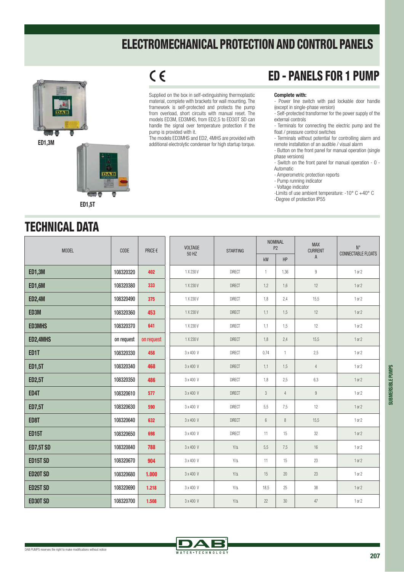

**ED1,3M**



#### $C<sub>6</sub>$

Supplied on the box in self-extinguishing thermoplastic material, complete with brackets for wall mounting. The framework is self-protected and protects the pump from overload, short circuits with manual reset. The models ED3M, ED3MHS, from ED2,5 to ED30T SD can handle the signal over temperature protection if the pump is provided with it.

The models ED3MHS and ED2, 4MHS are provided with additional electrolytic condenser for high startup torque.

#### ED - PANELS FOR 1 PUMP

**Complete with:** - Power line switch with pad lockable door handle (except in single-phase version)

- Self-protected transformer for the power supply of the external controls

- Terminals for connecting the electric pump and the float / pressure control switches

- Terminals without potential for controlling alarm and remote installation of an audible / visual alarm

- Button on the front panel for manual operation (single phase versions)

- Switch on the front panel for manual operation - 0 - Automatic

- Amperometric protection reports
- Pump running indicator
- Voltage indicator

-Limits of use ambient temperature: -10° C +40° C

-Degree of protection IP55

#### TECHNICAL DATA

| <b>MODEL</b>     | CODE       | PRICE $\epsilon$ | <b>VOLTAGE</b> | <b>STARTING</b>     |                | <b>NOMINAL</b><br>P <sub>2</sub> | <b>MAX</b><br><b>CURRENT</b> | $N^{\circ}$        |
|------------------|------------|------------------|----------------|---------------------|----------------|----------------------------------|------------------------------|--------------------|
|                  |            |                  | 50 HZ          |                     | kW             | HP                               | $\mathsf{A}$                 | CONNECTABLE FLOATS |
| <b>ED1,3M</b>    | 108320320  | 402              | 1 X 230 V      | <b>DIRECT</b>       | $\mathbf{1}$   | 1,36                             | $\boldsymbol{9}$             | 1 or 2             |
| <b>ED1,6M</b>    | 108320380  | 333              | 1 X 230 V      | <b>DIRECT</b>       | 1,2            | 1,6                              | 12                           | 1 or 2             |
| <b>ED2,4M</b>    | 108320490  | 375              | 1 X 230 V      | <b>DIRECT</b>       | 1,8            | 2,4                              | 15,5                         | 1 or 2             |
| ED3M             | 108320360  | 453              | 1 X 230 V      | <b>DIRECT</b>       | 1,1            | 1,5                              | 12                           | 1 or 2             |
| <b>ED3MHS</b>    | 108320370  | 641              | 1 X 230 V      | <b>DIRECT</b>       | 1,1            | 1,5                              | 12                           | 1 or 2             |
| ED2,4MHS         | on request | on request       | 1 X 230 V      | <b>DIRECT</b>       | 1,8            | 2,4                              | 15,5                         | 1 or 2             |
| ED1T             | 108320330  | 458              | 3 x 400 V      | <b>DIRECT</b>       | 0,74           | $\mathbf{1}$                     | 2,5                          | 1 or 2             |
| <b>ED1,5T</b>    | 108320340  | 468              | 3 x 400 V      | <b>DIRECT</b>       | 1,1            | 1,5                              | $\overline{4}$               | 1 or 2             |
| <b>ED2,5T</b>    | 108320350  | 486              | 3 x 400 V      | <b>DIRECT</b>       | 1,8            | 2,5                              | 6,3                          | 1 or 2             |
| ED4T             | 108320610  | 577              | 3 x 400 V      | <b>DIRECT</b>       | $\mathfrak{Z}$ | $\overline{4}$                   | $\boldsymbol{9}$             | 1 or 2             |
| <b>ED7,5T</b>    | 108320630  | 590              | 3 x 400 V      | <b>DIRECT</b>       | 5,5            | 7,5                              | 12                           | 1 or 2             |
| ED8T             | 108320640  | 632              | 3 x 400 V      | <b>DIRECT</b>       | $6\,$          | 8                                | 15,5                         | 1 or 2             |
| <b>ED15T</b>     | 108320650  | 698              | 3 x 400 V      | <b>DIRECT</b>       | 11             | 15                               | 32                           | 1 or 2             |
| <b>ED7,5T SD</b> | 108320840  | 788              | 3 x 400 V      | $\mathsf{Y}/\Delta$ | 5,5            | 7,5                              | 16                           | 1 or 2             |
| ED15T SD         | 108320670  | 904              | 3 x 400 V      | $Y/\Delta$          | 11             | 15                               | 23                           | 1 or 2             |
| <b>ED20T SD</b>  | 108320680  | 1.000            | 3 x 400 V      | $Y/\Delta$          | 15             | 20                               | 23                           | 1 or 2             |
| <b>ED25T SD</b>  | 108320690  | 1.218            | 3 x 400 V      | $Y/\Delta$          | 18,5           | 25                               | 38                           | 1 or 2             |
| <b>ED30T SD</b>  | 108320700  | 1.508            | 3 x 400 V      | $\mathsf{Y}/\Delta$ | 22             | 30                               | 47                           | 1 or 2             |

WATER . TECHNOLOG

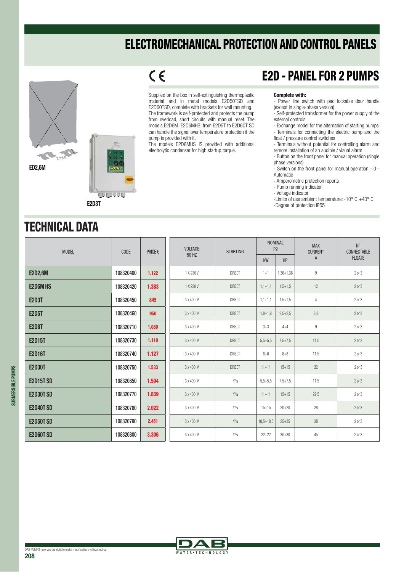

**COUNTY** 

 $C<sub>6</sub>$ Supplied on the box in self-extinguishing thermoplastic material and in metal models E2D50TSD and

E2D60TSD, complete with brackets for wall mounting. The framework is self-protected and protects the pump from overload, short circuits with manual reset. The models E2D6M, E2D6MHS, from E2D5T to E2D60T SD can handle the signal over temperature protection if the pump is provided with it.

The models E2D6MHS IS provided with additional electrolytic condenser for high startup torque.

#### E2D - PANEL FOR 2 PUMPS

**Complete with:** - Power line switch with pad lockable door handle (except in single-phase version)

- Self-protected transformer for the power supply of the external controls
- Exchange model for the alternation of starting pumps - Terminals for connecting the electric pump and the float / pressure control switches

- Terminals without potential for controlling alarm and remote installation of an audible / visual alarm

- Button on the front panel for manual operation (single phase versions)

- Switch on the front panel for manual operation - 0 - Automatic

- Amperometric protection reports
- Pump running indicator
- Voltage indicator
- -Limits of use ambient temperature: -10° C +40° C

-Degree of protection IP55

#### TECHNICAL DATA

**E2D3T**

| <b>MODEL</b>     | CODE      | PRICE € | <b>VOLTAGE</b> | <b>STARTING</b> | <b>NOMINAL</b><br>P <sub>2</sub> |             | <b>MAX</b><br><b>CURRENT</b> | $N^{\circ}$<br>CONNECTABLE |
|------------------|-----------|---------|----------------|-----------------|----------------------------------|-------------|------------------------------|----------------------------|
|                  |           |         | 50 HZ          |                 | kW                               | HP          | $\mathsf{A}$                 | <b>FLOATS</b>              |
| <b>E2D2,6M</b>   | 108320400 | 1.122   | 1 X 230 V      | <b>DIRECT</b>   | $1+1$                            | 1,36+1,36   | $\overline{9}$               | 2 or 3                     |
| <b>E2D6M HS</b>  | 108320420 | 1.383   | 1 X 230 V      | <b>DIRECT</b>   | $1,1+1,1$                        | $1,5+1,5$   | 12                           | $2$ or $3$                 |
| <b>E2D3T</b>     | 108320450 | 845     | 3 x 400 V      | <b>DIRECT</b>   | $1,1+1,1$                        | $1,5+1,5$   | $\overline{4}$               | 2 or 3                     |
| <b>E2D5T</b>     | 108320460 | 950     | 3 x 400 V      | <b>DIRECT</b>   | $1,8+1,8$                        | $2,5+2,5$   | 6,3                          | 2 or 3                     |
| <b>E2D8T</b>     | 108320710 | 1.080   | 3 x 400 V      | <b>DIRECT</b>   | $3 + 3$                          | $4 + 4$     | 9                            | $2$ or $3$                 |
| <b>E2D15T</b>    | 108320730 | 1.110   | 3 x 400 V      | <b>DIRECT</b>   | $5,5+5,5$                        | $7,5 + 7,5$ | 11,5                         | $2$ or $3$                 |
| <b>E2D16T</b>    | 108320740 | 1.127   | 3 x 400 V      | <b>DIRECT</b>   | $6 + 6$                          | $8 + 8$     | 11,5                         | $2$ or $3$                 |
| <b>E2D30T</b>    | 108320750 | 1.533   | 3 x 400 V      | <b>DIRECT</b>   | $11 + 11$                        | $15 + 15$   | 32                           | 2 or 3                     |
| <b>E2D15T SD</b> | 108320850 | 1.504   | 3 x 400 V      | $Y/\Delta$      | $5,5+5,5$                        | $7,5 + 7,5$ | 11,5                         | 2 or 3                     |
| <b>E2D30T SD</b> | 108320770 | 1.839   | 3 x 400 V      | $Y/\Delta$      | $11 + 11$                        | $15 + 15$   | 22,5                         | 2 or 3                     |
| <b>E2D40T SD</b> | 108320780 | 2.022   | 3 x 400 V      | $Y/\Delta$      | $15 + 15$                        | $20 + 20$   | 28                           | 2 or 3                     |
| <b>E2D50T SD</b> | 108320790 | 2.451   | 3 x 400 V      | $Y/\Delta$      | $18,5+18,5$                      | $25 + 25$   | 38                           | 2 or 3                     |
| <b>E2D60T SD</b> | 108320800 | 3.306   | 3 x 400 V      | $Y/\Delta$      | $22+22$                          | $30 + 30$   | 45                           | 2 or 3                     |



**SUBMERSIBLE PUMPS**

**SUBMERSIBLE PUMPS**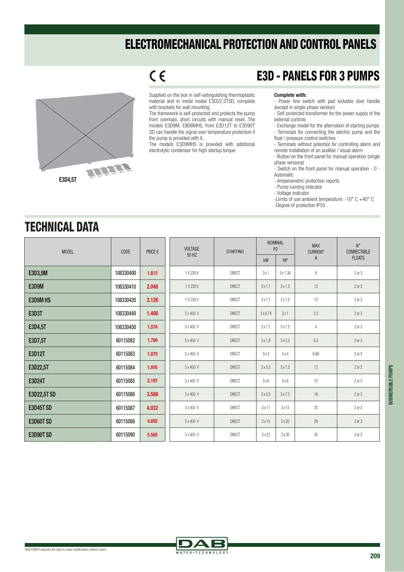

 $C<sub>6</sub>$ 

Supplied on the box in self-extinguishing thermoplastic material and in metal model E3D22,5TSD, complete with brackets for wall mounting.

The framework is self-protected and protects the pump from overload, short circuits with manual reset. The models E3D9M, E9D6MHS, from E3D12T to E3D90T SD can handle the signal over temperature protection if the pump is provided with it.

The models E3D9MHS is provided with additional electrolytic condenser for high startup torque.

#### E3D - PANELS FOR 3 PUMPS

**Complete with:** - Power line switch with pad lockable door handle (except in single-phase version)

- Self-protected transformer for the power supply of the external controls
- Exchange model for the alternation of starting pumps - Terminals for connecting the electric pump and the float / pressure control switches
- Terminals without potential for controlling alarm and
- remote installation of an audible / visual alarm - Button on the front panel for manual operation (single
- phase versions)

- Switch on the front panel for manual operation - 0 - Automatic

- Amperometric protection reports
- Pump running indicator
- Voltage indicator
- -Limits of use ambient temperature: -10° C +40° C
- -Degree of protection IP55

#### TECHNICAL DATA

| <b>MODEL</b>       | <b>CODE</b> | PRICE $\epsilon$ | <b>VOLTAGE</b> | <b>STARTING</b> | <b>NOMINAL</b>  | P <sub>2</sub> | <b>MAX</b><br><b>CURRENT</b> | $N^{\circ}$<br>CONNECTABLE |
|--------------------|-------------|------------------|----------------|-----------------|-----------------|----------------|------------------------------|----------------------------|
|                    |             |                  | 50 HZ          |                 | kW              | <b>HP</b>      | $\mathsf{A}$                 | <b>FLOATS</b>              |
| E3D3,9M            | 108330400   | 1.813            | 1 X 230 V      | <b>DIRECT</b>   | 3x1             | 3 x 1,36       | 9                            | $2$ or $3$                 |
| <b>E3D9M</b>       | 108330410   | 2.048            | 1 X 230 V      | <b>DIRECT</b>   | 3x1.1           | 3x1.5          | 12                           | $2$ or $3$                 |
| <b>E3D9MHS</b>     | 108330420   | 2.126            | 1 X 230 V      | <b>DIRECT</b>   | 3x1.1           | 3x1,5          | 12                           | $2$ or $3$                 |
| <b>E3D3T</b>       | 108330440   | 1.406            | 3 x 400 V      | <b>DIRECT</b>   | $3 \times 0,74$ | 3x1            | 2,5                          | $2$ or $3$                 |
| E3D4,5T            | 108330450   | 1.574            | 3 x 400 V      | <b>DIRECT</b>   | 3x1.1           | 3x1.5          | $\overline{4}$               | $2$ or $3$                 |
| E3D7,5T            | 60115082    | 1.709            | 3 x 400 V      | <b>DIRECT</b>   | 3x1.8           | 3x2.5          | 6,3                          | 2 or 3                     |
| <b>E3D12T</b>      | 60115083    | 1.875            | 3 x 400 V      | <b>DIRECT</b>   | 3x3             | 3x4            | 6,66                         | $2$ or $3$                 |
| E3D22,5T           | 60115084    | 1.976            | 3 x 400 V      | <b>DIRECT</b>   | 3x5.5           | 3x7.5          | 12                           | $2$ or $3$                 |
| <b>E3D24T</b>      | 60115085    | 2.197            | 3 x 400 V      | <b>DIRECT</b>   | 3x6             | $3\times8$     | 15                           | 2 or 3                     |
| <b>E3D22,5T SD</b> | 60115086    | 3.586            | 3 x 400 V      | <b>DIRECT</b>   | 3x5.5           | 3x7.5          | 16                           | 2 or 3                     |
| <b>E3D45T SD</b>   | 60115087    | 4.032            | 3 x 400 V      | <b>DIRECT</b>   | 3x11            | 3x15           | 25                           | $2$ or $3$                 |
| <b>E3D60T SD</b>   | 60115088    | 4.692            | 3 x 400 V      | <b>DIRECT</b>   | 3x15            | 3x20           | 28                           | $2$ or $3$                 |
| <b>E3D90T SD</b>   | 60115090    | 5.565            | 3 x 400 V      | <b>DIRECT</b>   | 3x22            | $3 \times 30$  | 45                           | $2$ or $3$                 |

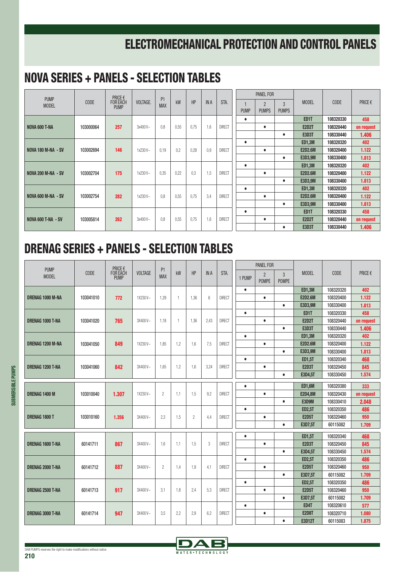#### NOVA SERIES + PANELS - SELECTION TABLES

| <b>PUMP</b>               |                  | PRICE $\epsilon$               |          |                              |      |      |               |               |             | <b>PANEL FOR</b> |              |                |            |            |
|---------------------------|------------------|--------------------------------|----------|------------------------------|------|------|---------------|---------------|-------------|------------------|--------------|----------------|------------|------------|
| <b>MODEL</b>              | CODE             | <b>FOR EACH</b><br><b>PUMP</b> | VOLTAGE. | P <sub>1</sub><br><b>MAX</b> | kW   | HP   | <b>IN A</b>   | STA.          |             | $\overline{2}$   | 3            | <b>MODEL</b>   | CODE       | PRICE€     |
|                           |                  |                                |          |                              |      |      |               |               | <b>PUMP</b> | <b>PUMPS</b>     | <b>PUMPS</b> |                |            |            |
|                           |                  |                                |          |                              |      |      |               |               | $\bullet$   |                  |              | ED1T           | 108320330  | 458        |
| NOVA 600 T-NA             | 103000064        | 257                            | 3x400V~  | 0.8                          | 0,55 | 0,75 | 1.6           | <b>DIRECT</b> |             | $\bullet$        |              | <b>E2D2T</b>   | 108320440  | on request |
|                           |                  |                                |          |                              |      |      |               |               |             |                  | $\bullet$    | <b>E3D3T</b>   | 108330440  | 1.406      |
|                           |                  |                                |          |                              |      |      |               |               | $\bullet$   |                  |              | <b>ED1,3M</b>  | 108320320  | 402        |
| <b>NOVA 180 M-NA - SV</b> | 103002694        | 146                            | 1x230V~  | 0.19                         | 0.2  | 0,28 | 0.9           | <b>DIRECT</b> |             | $\bullet$        |              | <b>E2D2.6M</b> | 108320400  | 1.122      |
|                           |                  |                                |          |                              |      |      |               |               |             |                  | $\bullet$    | E3D3,9M        | 108330400  | 1.813      |
|                           |                  |                                |          |                              |      |      |               |               | $\bullet$   |                  |              | <b>ED1,3M</b>  | 108320320  | 402        |
| <b>NOVA 200 M-NA - SV</b> | 103002704        | 175                            | 1x230V~  | 0.35                         | 0,22 | 0.3  | 1,5           | <b>DIRECT</b> |             | $\bullet$        |              | <b>E2D2.6M</b> | 108320400  | 1.122      |
|                           |                  |                                |          |                              |      |      |               |               |             |                  | $\bullet$    | E3D3,9M        | 108330400  | 1.813      |
|                           |                  |                                |          |                              |      |      |               |               | $\bullet$   |                  |              | <b>ED1,3M</b>  | 108320320  | 402        |
| <b>NOVA 600 M-NA - SV</b> | 103002754        | 282                            | 1x230V~  | 0.8                          | 0,55 | 0,75 | 3.4           | <b>DIRECT</b> |             | $\bullet$        |              | <b>E2D2.6M</b> | 108320400  | 1.122      |
|                           |                  |                                |          |                              |      |      |               |               |             |                  | $\bullet$    | E3D3,9M        | 108330400  | 1.813      |
|                           |                  |                                |          |                              |      |      |               |               | $\bullet$   |                  |              | ED1T           | 108320330  | 458        |
| <b>NOVA 600 T-NA - SV</b> | 262<br>103005814 | 3x400V~                        | 0.8      | 0,55                         | 0,75 | 1.6  | <b>DIRECT</b> |               | $\bullet$   |                  | <b>E2D2T</b> | 108320440      | on request |            |
|                           |                  |                                |          |                              |      |      |               |               |             |                  | $\bullet$    | <b>E3D3T</b>   | 108330440  | 1.406      |

| <b>PUMP</b>             |           |                                    |                |                              |              |                |                 |               |           | PANEL FOR                      |                   |                |           |            |
|-------------------------|-----------|------------------------------------|----------------|------------------------------|--------------|----------------|-----------------|---------------|-----------|--------------------------------|-------------------|----------------|-----------|------------|
| <b>MODEL</b>            | CODE      | PRICE €<br>FOR EACH<br><b>PUMP</b> | <b>VOLTAGE</b> | P <sub>1</sub><br><b>MAX</b> | kW           | HP             | <b>IN A</b>     | STA.          | 1 PUMP    | $\overline{2}$<br><b>POMPE</b> | 3<br><b>POMPE</b> | <b>MODEL</b>   | CODE      | PRICE €    |
|                         |           |                                    |                |                              |              |                |                 |               | $\bullet$ |                                |                   | <b>ED1.3M</b>  | 108320320 | 402        |
| <b>DRENAG 1000 M-NA</b> | 103041010 | 772                                | 1X230V~        | 1,29                         | $\mathbf{1}$ | 1,36           | $6\overline{6}$ | <b>DIRECT</b> |           | $\bullet$                      |                   | <b>E2D2.6M</b> | 108320400 | 1.122      |
|                         |           |                                    |                |                              |              |                |                 |               |           |                                | $\bullet$         | E3D3.9M        | 108330400 | 1.813      |
|                         |           |                                    |                |                              |              |                |                 |               | $\bullet$ |                                |                   | ED1T           | 108320330 | 458        |
| <b>DRENAG 1000 T-NA</b> | 103041020 | 765                                | 3X400V~        | 1.18                         | $\mathbf{1}$ | 1,36           | 2.43            | <b>DIRECT</b> |           | $\bullet$                      |                   | <b>E2D2T</b>   | 108320440 | on request |
|                         |           |                                    |                |                              |              |                |                 |               |           |                                | $\bullet$         | <b>E3D3T</b>   | 108330440 | 1.406      |
|                         |           |                                    |                |                              |              |                |                 |               | $\bullet$ |                                |                   | <b>ED1,3M</b>  | 108320320 | 402        |
| <b>DRENAG 1200 M-NA</b> | 103041050 | 849                                | 1X230V~        | 1,85                         | 1,2          | 1,6            | 7.5             | <b>DIRECT</b> |           | $\bullet$                      |                   | <b>E2D2.6M</b> | 108320400 | 1.122      |
|                         |           |                                    |                |                              |              |                |                 |               |           |                                | $\bullet$         | E3D3,9M        | 108330400 | 1.813      |
|                         |           |                                    |                |                              |              |                |                 |               | $\bullet$ |                                |                   | <b>ED1,5T</b>  | 108320340 | 468        |
| DRENAG 1200 T-NA        | 103041060 | 842                                | 3X400V~        | 1.65                         | 1,2          | 1,6            | 3,24            | <b>DIRECT</b> |           | $\bullet$                      |                   | <b>E2D3T</b>   | 108320450 | 845        |
|                         |           |                                    |                |                              |              |                |                 |               |           |                                | $\bullet$         | E3D4,5T        | 108330450 | 1.574      |
|                         |           |                                    |                |                              |              |                |                 |               | $\bullet$ |                                |                   | <b>ED1.6M</b>  | 108320380 | 333        |
| DRENAG 1400 M           | 103010040 | 1.307                              | 1X230V~        | $\overline{c}$               | 1,1          | 1,5            | 9.2             | <b>DIRECT</b> |           | $\bullet$                      |                   | <b>E2D4,8M</b> | 108320430 | on request |
|                         |           |                                    |                |                              |              |                |                 |               |           |                                | $\bullet$         | E3D9M          | 108330410 | 2.048      |
|                         |           |                                    |                |                              |              |                |                 |               | $\bullet$ |                                |                   | <b>ED2,5T</b>  | 108320350 | 486        |
| DRENAG 1800 T           | 103010160 | 1.356                              | 3X400V~        | 2,3                          | 1,5          | $\overline{c}$ | 4,4             | <b>DIRECT</b> |           | $\bullet$                      |                   | <b>E2D5T</b>   | 108320460 | 950        |
|                         |           |                                    |                |                              |              |                |                 |               |           |                                | $\bullet$         | E3D7,5T        | 60115082  | 1.709      |
|                         |           |                                    |                |                              |              |                |                 |               | $\bullet$ |                                |                   | <b>ED1.5T</b>  | 108320340 | 468        |
| <b>DRENAG 1600 T-NA</b> | 60141711  | 867                                | 3X400V~        | 1.6                          | 1.1          | 1,5            | 3               | <b>DIRECT</b> |           | $\bullet$                      |                   | <b>E2D3T</b>   | 108320450 | 845        |
|                         |           |                                    |                |                              |              |                |                 |               |           |                                | $\bullet$         | E3D4,5T        | 108330450 | 1.574      |
|                         |           |                                    |                |                              |              |                |                 |               | $\bullet$ |                                |                   | <b>ED2,5T</b>  | 108320350 | 486        |
| DRENAG 2000 T-NA        | 60141712  | 887                                | 3X400V~        | $\overline{2}$               | 1,4          | 1,9            | 4,1             | <b>DIRECT</b> |           | $\bullet$                      |                   | <b>E2D5T</b>   | 108320460 | 950        |
|                         |           |                                    |                |                              |              |                |                 |               |           |                                | $\bullet$         | E3D7.5T        | 60115082  | 1.709      |
|                         |           |                                    |                |                              |              |                |                 |               | $\bullet$ |                                |                   | <b>ED2,5T</b>  | 108320350 | 486        |
| DRENAG 2500 T-NA        | 60141713  | 917                                | 3X400V~        | 3,1                          | 1,8          | 2,4            | 5,3             | <b>DIRECT</b> |           | $\bullet$                      |                   | <b>E2D5T</b>   | 108320460 | 950        |
|                         |           |                                    |                |                              |              |                |                 |               |           |                                | $\bullet$         | E3D7,5T        | 60115082  | 1.709      |
|                         |           |                                    |                |                              |              |                |                 |               | $\bullet$ |                                |                   | ED4T           | 108320610 | 577        |
| <b>DRENAG 3000 T-NA</b> | 60141714  | 947                                | 3X400V~        | 3.5                          | 2,2          | 2,9            | 6.2             | <b>DIRECT</b> |           | $\bullet$                      |                   | <b>E2D8T</b>   | 108320710 | 1.080      |
|                         |           |                                    |                |                              |              |                |                 |               |           |                                | $\bullet$         | <b>E3D12T</b>  | 60115083  | 1.875      |

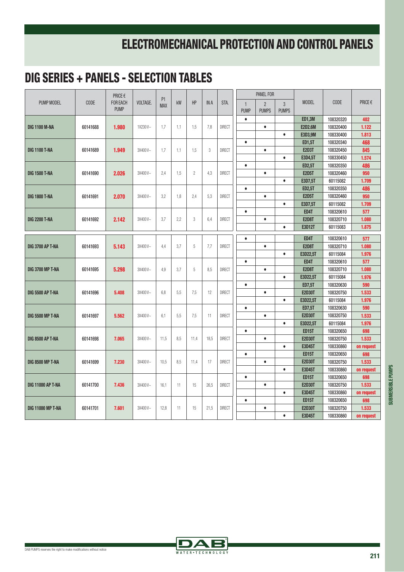|                          |             | PRICE €     |          |                              |     |                |            |               |              | <b>PANEL FOR</b> |              |                |           |            |
|--------------------------|-------------|-------------|----------|------------------------------|-----|----------------|------------|---------------|--------------|------------------|--------------|----------------|-----------|------------|
| PUMP MODEL               | <b>CODE</b> | FOR EACH    | VOLTAGE. | P <sub>1</sub><br><b>MAX</b> | kW  | HP             | <b>INA</b> | STA.          | $\mathbf{1}$ | $\overline{2}$   | 3            | <b>MODEL</b>   | CODE      | PRICE €    |
|                          |             | <b>PUMP</b> |          |                              |     |                |            |               | <b>PUMP</b>  | <b>PUMPS</b>     | <b>PUMPS</b> |                |           |            |
|                          |             |             |          |                              |     |                |            |               | $\bullet$    |                  |              | <b>ED1,3M</b>  | 108320320 | 402        |
| <b>DIG 1100 M-NA</b>     | 60141688    | 1.980       | 1X230V~  | 1,7                          | 1,1 | 1,5            | 7,8        | <b>DIRECT</b> |              | $\bullet$        |              | <b>E2D2.6M</b> | 108320400 | 1.122      |
|                          |             |             |          |                              |     |                |            |               |              |                  | $\bullet$    | E3D3.9M        | 108330400 | 1.813      |
|                          |             |             |          |                              |     |                |            |               | $\bullet$    |                  |              | <b>ED1,5T</b>  | 108320340 | 468        |
| <b>DIG 1100 T-NA</b>     | 60141689    | 1.949       | 3X400V~  | 1,7                          | 1,1 | 1,5            | 3          | <b>DIRECT</b> |              | $\bullet$        |              | <b>E2D3T</b>   | 108320450 | 845        |
|                          |             |             |          |                              |     |                |            |               |              |                  | $\bullet$    | E3D4,5T        | 108330450 | 1.574      |
|                          |             |             |          |                              |     |                |            |               | $\bullet$    |                  |              | <b>ED2,5T</b>  | 108320350 | 486        |
| <b>DIG 1500 T-NA</b>     | 60141690    | 2.026       | 3X400V~  | 2,4                          | 1,5 | $\overline{c}$ | 4,3        | <b>DIRECT</b> |              | $\bullet$        |              | <b>E2D5T</b>   | 108320460 | 950        |
|                          |             |             |          |                              |     |                |            |               |              |                  | $\bullet$    | E3D7,5T        | 60115082  | 1.709      |
|                          |             |             |          |                              |     |                |            |               | $\bullet$    |                  |              | <b>ED2,5T</b>  | 108320350 | 486        |
| <b>DIG 1800 T-NA</b>     | 60141691    | 2.070       | 3X400V~  | 3,2                          | 1.8 | 2,4            | 5.3        | <b>DIRECT</b> |              | $\bullet$        |              | <b>E2D5T</b>   | 108320460 | 950        |
|                          |             |             |          |                              |     |                |            |               |              |                  | $\bullet$    | E3D7,5T        | 60115082  | 1.709      |
|                          |             |             |          |                              |     |                |            |               | $\bullet$    |                  |              | ED4T           | 108320610 | 577        |
| <b>DIG 2200 T-NA</b>     | 60141692    | 2.142       | 3X400V~  | 3,7                          | 2.2 | 3              | 6,4        | <b>DIRECT</b> |              | $\bullet$        |              | <b>E2D8T</b>   | 108320710 | 1.080      |
|                          |             |             |          |                              |     |                |            |               |              |                  | $\bullet$    | <b>E3D12T</b>  | 60115083  | 1.875      |
|                          |             |             |          |                              |     |                |            |               | $\bullet$    |                  |              | ED4T           | 108320610 | 577        |
| <b>DIG 3700 AP T-NA</b>  | 60141693    | 5.143       | 3X400V~  | 4,4                          | 3,7 | 5              | 7,7        | <b>DIRECT</b> |              | $\bullet$        |              | <b>E2D8T</b>   | 108320710 | 1.080      |
|                          |             |             |          |                              |     |                |            |               |              |                  | $\bullet$    | E3D22,5T       | 60115084  | 1.976      |
|                          |             |             |          |                              |     |                |            |               | $\bullet$    |                  |              | ED4T           | 108320610 | 577        |
| <b>DIG 3700 MP T-NA</b>  | 60141695    | 5.298       | 3X400V~  | 4.9                          | 3.7 | 5              | 8.5        | <b>DIRECT</b> |              | $\bullet$        |              | <b>E2D8T</b>   | 108320710 | 1.080      |
|                          |             |             |          |                              |     |                |            |               |              |                  | $\bullet$    | E3D22,5T       | 60115084  | 1.976      |
|                          |             |             |          |                              |     |                |            |               | $\bullet$    |                  |              | <b>ED7,5T</b>  | 108320630 | 590        |
| <b>DIG 5500 AP T-NA</b>  | 60141696    | 5.408       | 3X400V~  | 6,8                          | 5,5 | 7,5            | 12         | <b>DIRECT</b> |              | $\bullet$        |              | <b>E2D30T</b>  | 108320750 | 1.533      |
|                          |             |             |          |                              |     |                |            |               |              |                  | $\bullet$    | E3D22.5T       | 60115084  | 1.976      |
|                          |             |             |          |                              |     |                |            |               | $\bullet$    |                  |              | <b>ED7,5T</b>  | 108320630 | 590        |
| <b>DIG 5500 MP T-NA</b>  | 60141697    | 5.562       | 3X400V~  | 6.1                          | 5,5 | 7,5            | 11         | <b>DIRECT</b> |              | $\bullet$        |              | <b>E2D30T</b>  | 108320750 | 1.533      |
|                          |             |             |          |                              |     |                |            |               |              |                  | $\bullet$    | E3D22,5T       | 60115084  | 1.976      |
|                          |             |             |          |                              |     |                |            |               | $\bullet$    |                  |              | <b>ED15T</b>   | 108320650 | 698        |
| <b>DIG 8500 AP T-NA</b>  | 60141698    | 7.065       | 3X400V~  | 11.5                         | 8,5 | 11,4           | 18,5       | <b>DIRECT</b> |              | $\bullet$        |              | <b>E2D30T</b>  | 108320750 | 1.533      |
|                          |             |             |          |                              |     |                |            |               |              |                  | $\bullet$    | <b>E3D45T</b>  | 108330860 | on request |
|                          |             |             |          |                              |     |                |            |               | $\bullet$    |                  |              | <b>ED15T</b>   | 108320650 | 698        |
| <b>DIG 8500 MP T-NA</b>  | 60141699    | 7.230       | 3X400V~  | 10,5                         | 8,5 | 11,4           | 17         | <b>DIRECT</b> |              | $\bullet$        |              | <b>E2D30T</b>  | 108320750 | 1.533      |
|                          |             |             |          |                              |     |                |            |               |              |                  | $\bullet$    | <b>E3D45T</b>  | 108330860 | on request |
|                          |             |             |          |                              |     |                |            |               | $\bullet$    |                  |              | <b>ED15T</b>   | 108320650 | 698        |
| <b>DIG 11000 AP T-NA</b> | 60141700    | 7.436       | 3X400V~  | 16,1                         | 11  | 15             | 26,5       | <b>DIRECT</b> |              | $\bullet$        |              | <b>E2D30T</b>  | 108320750 | 1.533      |
|                          |             |             |          |                              |     |                |            |               |              |                  | $\bullet$    | <b>E3D45T</b>  | 108330860 | on request |
|                          |             |             |          |                              |     |                |            |               | $\bullet$    |                  |              | <b>ED15T</b>   | 108320650 | 698        |
| <b>DIG 11000 MP T-NA</b> | 60141701    | 7.601       | 3X400V~  | 12,8                         | 11  | 15             | 21,5       | <b>DIRECT</b> |              | $\bullet$        |              | <b>E2D30T</b>  | 108320750 | 1.533      |
|                          |             |             |          |                              |     |                |            |               |              |                  | $\bullet$    | <b>E3D45T</b>  | 108330860 | on request |

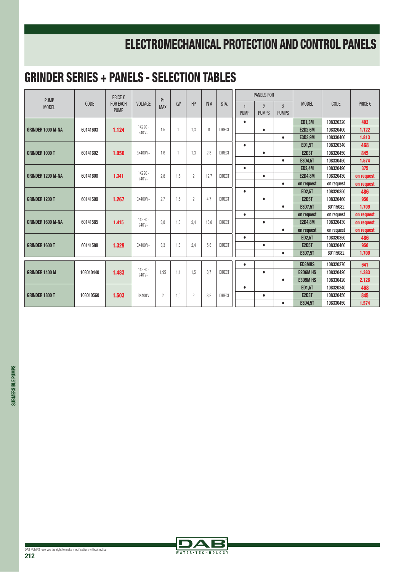#### GRINDER SERIES + PANELS - SELECTION TABLES

| <b>PUMP</b>              |           | PRICE €         |                     |                              |              |                |             |               |                | <b>PANELS FOR</b> |              |                 |            |            |
|--------------------------|-----------|-----------------|---------------------|------------------------------|--------------|----------------|-------------|---------------|----------------|-------------------|--------------|-----------------|------------|------------|
| <b>MODEL</b>             | CODE      | <b>FOR EACH</b> | <b>VOLTAGE</b>      | P <sub>1</sub><br><b>MAX</b> | kW           | HP             | <b>IN A</b> | STA.          | $\overline{1}$ | $\overline{2}$    | $\mathbf{3}$ | <b>MODEL</b>    | CODE       | PRICE €    |
|                          |           | <b>PUMP</b>     |                     |                              |              |                |             |               | <b>PUMP</b>    | <b>PUMPS</b>      | <b>PUMPS</b> |                 |            |            |
|                          |           |                 |                     |                              |              |                |             |               | $\bullet$      |                   |              | <b>ED1,3M</b>   | 108320320  | 402        |
| <b>GRINDER 1000 M-NA</b> | 60141603  | 1.124           | 1X220 -<br>$240V -$ | 1,5                          | $\mathbf{1}$ | 1,3            | 8           | <b>DIRECT</b> |                | $\bullet$         |              | <b>E2D2.6M</b>  | 108320400  | 1.122      |
|                          |           |                 |                     |                              |              |                |             |               |                |                   | $\bullet$    | E3D3,9M         | 108330400  | 1.813      |
|                          |           |                 |                     |                              |              |                |             |               | $\bullet$      |                   |              | <b>ED1,5T</b>   | 108320340  | 468        |
| <b>GRINDER 1000 T</b>    | 60141602  | 1.050           | 3X400V~             | 1,6                          | $\mathbf{1}$ | 1,3            | 2.8         | <b>DIRECT</b> |                | $\bullet$         |              | <b>E2D3T</b>    | 108320450  | 845        |
|                          |           |                 |                     |                              |              |                |             |               |                |                   | $\bullet$    | E3D4,5T         | 108330450  | 1.574      |
|                          |           |                 | 1X220 -             |                              |              |                |             |               | $\bullet$      |                   |              | <b>ED2,4M</b>   | 108320490  | 375        |
| <b>GRINDER 1200 M-NA</b> | 60141600  | 1.341           | $240V -$            | 2,8                          | 1,5          | $\overline{c}$ | 12,7        | <b>DIRECT</b> |                | $\bullet$         |              | <b>E2D4,8M</b>  | 108320430  | on request |
|                          |           |                 |                     |                              |              |                |             |               |                |                   | $\bullet$    | on request      | on request | on request |
|                          |           |                 |                     |                              |              |                |             |               | $\bullet$      |                   |              | <b>ED2,5T</b>   | 108320350  | 486        |
| <b>GRINDER 1200 T</b>    | 60141599  | 1.267           | 3X400V~             | 2.7                          | 1,5          | $\overline{2}$ | 4.7         | <b>DIRECT</b> |                | $\bullet$         |              | <b>E2D5T</b>    | 108320460  | 950        |
|                          |           |                 |                     |                              |              |                |             |               |                |                   | $\bullet$    | E3D7.5T         | 60115082   | 1.709      |
|                          |           |                 |                     |                              |              |                |             |               | $\bullet$      |                   |              | on request      | on request | on request |
| <b>GRINDER 1600 M-NA</b> | 60141585  | 1.415           | 1X220 -<br>$240V -$ | 3.8                          | 1.8          | 2,4            | 16.8        | <b>DIRECT</b> |                | $\bullet$         |              | <b>E2D4.8M</b>  | 108320430  | on request |
|                          |           |                 |                     |                              |              |                |             |               |                |                   | $\bullet$    | on request      | on request | on request |
|                          |           |                 |                     |                              |              |                |             |               | $\bullet$      |                   |              | <b>ED2,5T</b>   | 108320350  | 486        |
| <b>GRINDER 1600 T</b>    | 60141588  | 1.329           | 3X400V~             | 3,3                          | 1,8          | 2,4            | 5.8         | <b>DIRECT</b> |                | $\bullet$         |              | <b>E2D5T</b>    | 108320460  | 950        |
|                          |           |                 |                     |                              |              |                |             |               |                |                   | $\bullet$    | E3D7,5T         | 60115082   | 1.709      |
|                          |           |                 |                     |                              |              |                |             |               | $\bullet$      |                   |              | <b>ED3MHS</b>   | 108320370  | 641        |
| <b>GRINDER 1400 M</b>    | 103010440 | 1.483           | 1X220 -             | 1.95                         | 1.1          | 1,5            | 8.7         | <b>DIRECT</b> |                | $\bullet$         |              | <b>E2D6M HS</b> | 108320420  | 1.383      |
|                          |           |                 | $240V -$            |                              |              |                |             |               |                |                   | $\bullet$    | <b>E3D9M HS</b> | 108330420  | 2.126      |
|                          |           |                 |                     |                              |              |                |             |               | $\bullet$      |                   |              | <b>ED1,5T</b>   | 108320340  | 468        |
| <b>GRINDER 1800 T</b>    | 103010560 | 1.503           | 3X400V              | $\overline{2}$               | 1,5          | $\overline{c}$ | 3.8         | <b>DIRECT</b> |                | $\bullet$         |              | <b>E2D3T</b>    | 108320450  | 845        |
|                          |           |                 |                     |                              |              |                |             |               |                |                   | $\bullet$    | E3D4,5T         | 108330450  | 1.574      |
|                          |           |                 |                     |                              |              |                |             |               |                |                   |              |                 |            |            |

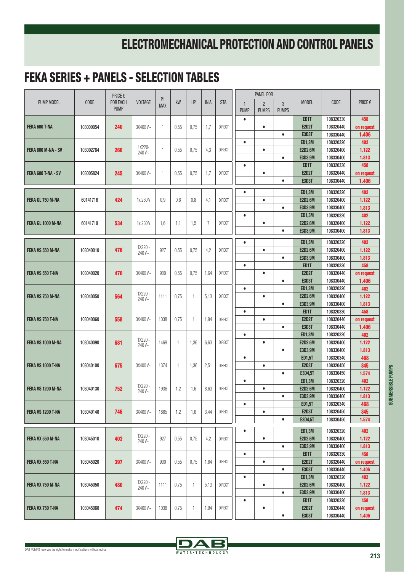|                         |             | PRICE €                        |                     | P <sub>1</sub> |                |                |             |               |                             | <b>PANEL FOR</b>               |                   |                               |                        |                |
|-------------------------|-------------|--------------------------------|---------------------|----------------|----------------|----------------|-------------|---------------|-----------------------------|--------------------------------|-------------------|-------------------------------|------------------------|----------------|
| PUMP MODEL              | <b>CODE</b> | <b>FOR EACH</b><br><b>PUMP</b> | <b>VOLTAGE</b>      | <b>MAX</b>     | kW             | <b>HP</b>      | <b>IN A</b> | STA.          | $\mathbf{1}$<br><b>PUMP</b> | $\overline{2}$<br><b>PUMPS</b> | 3<br><b>PUMPS</b> | <b>MODEL</b>                  | <b>CODE</b>            | PRICE€         |
|                         |             |                                |                     |                |                |                |             |               | $\bullet$                   |                                |                   | ED <sub>1</sub> T             | 108320330              | 458            |
| FEKA 600 T-NA           | 103000054   | 240                            | 3X400V~             | $\overline{1}$ | 0,55           | 0,75           | 1,7         | <b>DIRECT</b> |                             | $\bullet$                      |                   | <b>E2D2T</b>                  | 108320440              | on request     |
|                         |             |                                |                     |                |                |                |             |               |                             |                                | $\bullet$         | <b>E3D3T</b>                  | 108330440              | 1.406          |
|                         |             |                                | 1X220-              |                |                |                |             |               | $\bullet$                   |                                |                   | <b>ED1,3M</b>                 | 108320320              | 402            |
| FEKA 600 M-NA - SV      | 103002784   | 266                            | 240V~               | $\mathbf{1}$   | 0,55           | 0,75           | 4,3         | <b>DIRECT</b> |                             | $\bullet$                      |                   | <b>E2D2.6M</b>                | 108320400              | 1.122          |
|                         |             |                                |                     |                |                |                |             |               |                             |                                | $\bullet$         | E3D3,9M                       | 108330400              | 1.813          |
|                         |             |                                |                     |                |                |                |             |               | $\bullet$                   |                                |                   | ED <sub>1</sub> T             | 108320330              | 458            |
| FEKA 600 T-NA - SV      | 103005824   | 245                            | 3X400V~             | $\mathbf{1}$   | 0,55           | 0,75           | 1,7         | <b>DIRECT</b> |                             | $\bullet$                      |                   | <b>E2D2T</b>                  | 108320440              | on request     |
|                         |             |                                |                     |                |                |                |             |               |                             |                                | $\bullet$         | <b>E3D3T</b>                  | 108330440              | 1.406          |
|                         |             |                                |                     |                |                |                |             |               | $\bullet$                   |                                |                   | <b>ED1,3M</b>                 | 108320320              | 402            |
| <b>FEKA GL 750 M-NA</b> | 60141716    | 424                            | 1x 230 V            | 0,9            | 0,6            | 0,8            | 4,1         | <b>DIRECT</b> |                             | $\bullet$                      |                   | <b>E2D2.6M</b>                | 108320400              | 1.122          |
|                         |             |                                |                     |                |                |                |             |               |                             |                                | $\bullet$         | E3D3,9M                       | 108330400              | 1.813          |
|                         |             |                                |                     |                |                |                |             |               | $\bullet$                   |                                |                   | <b>ED1,3M</b>                 | 108320320              | 402            |
| FEKA GL 1000 M-NA       | 60141719    | 534                            | 1x 230 V            | 1.6            | 1,1            | 1,5            | 7           | <b>DIRECT</b> |                             | $\bullet$                      |                   | <b>E2D2.6M</b>                | 108320400              | 1.122          |
|                         |             |                                |                     |                |                |                |             |               |                             |                                | $\bullet$         | E3D3,9M                       | 108330400              | 1.813          |
|                         |             |                                |                     |                |                |                |             |               | $\bullet$                   |                                |                   | <b>ED1,3M</b>                 | 108320320              | 402            |
| FEKA VS 550 M-NA        | 103040010   | 476                            | 1X220 -             | 927            | 0,55           | 0,75           | 4,2         | <b>DIRECT</b> |                             | $\bullet$                      |                   | <b>E2D2.6M</b>                | 108320400              | 1.122          |
|                         |             |                                | 240V~               |                |                |                |             |               |                             |                                | $\bullet$         | E3D3,9M                       | 108330400              | 1.813          |
|                         |             |                                |                     |                |                |                |             |               | $\bullet$                   |                                |                   | ED <sub>1</sub> T             | 108320330              | 458            |
| FEKA VS 550 T-NA        | 103040020   | 470                            | 3X400V~             | 900            | 0,55           | 0,75           | 1,64        | <b>DIRECT</b> |                             | $\bullet$                      |                   | <b>E2D2T</b>                  | 108320440              | on request     |
|                         |             |                                |                     |                |                |                |             |               |                             |                                | $\bullet$         | <b>E3D3T</b>                  | 108330440              | 1.406          |
|                         |             |                                |                     |                |                |                |             |               | $\bullet$                   |                                |                   | <b>ED1,3M</b>                 | 108320320              | 402            |
| FEKA VS 750 M-NA        | 103040050   | 564                            | 1X220 -<br>$240V -$ | 1111           | 0,75           | $\mathbf{1}$   | 5,13        | <b>DIRECT</b> |                             | $\bullet$                      |                   | <b>E2D2.6M</b>                | 108320400              | 1.122          |
|                         |             |                                |                     |                |                |                |             |               |                             |                                | $\bullet$         | E3D3,9M                       | 108330400              | 1.813          |
|                         |             |                                |                     |                |                |                |             |               | $\bullet$                   |                                |                   | ED1T                          | 108320330              | 458            |
| FEKA VS 750 T-NA        | 103040060   | 558                            | 3X400V~             | 1038           | 0,75           | -1             | 1,94        | <b>DIRECT</b> |                             | $\bullet$                      |                   | <b>E2D2T</b>                  | 108320440              | on request     |
|                         |             |                                |                     |                |                |                |             |               |                             |                                | $\bullet$         | <b>E3D3T</b>                  | 108330440              | 1.406          |
|                         |             |                                | 1X220 -             |                |                |                |             |               | $\bullet$                   |                                |                   | <b>ED1,3M</b>                 | 108320320              | 402            |
| FEKA VS 1000 M-NA       | 103040090   | 681                            | $240V -$            | 1469           | $\overline{1}$ | 1,36           | 6,63        | <b>DIRECT</b> |                             | $\bullet$                      |                   | <b>E2D2.6M</b>                | 108320400              | 1.122          |
|                         |             |                                |                     |                |                |                |             |               |                             |                                | $\bullet$         | E3D3,9M                       | 108330400              | 1.813          |
|                         |             |                                |                     |                |                |                |             |               | $\bullet$                   |                                |                   | <b>ED1,5T</b>                 | 108320340              | 468            |
| FEKA VS 1000 T-NA       | 103040100   | 675                            | 3X400V~             | 1374           | $\overline{1}$ | 1,36           | 2,51        | <b>DIRECT</b> |                             | $\bullet$                      |                   | <b>E2D3T</b>                  | 108320450              | 845            |
|                         |             |                                |                     |                |                |                |             |               |                             |                                | $\bullet$         | E3D4,5T                       | 108330450              | 1.574          |
|                         |             |                                | 1X220 -             |                |                |                |             |               | $\bullet$                   |                                |                   | <b>ED1,3M</b>                 | 108320320              | 402            |
| FEKA VS 1200 M-NA       | 103040130   | 752                            | 240V~               | 1936           | 1,2            | 1,6            | 8,63        | <b>DIRECT</b> |                             | $\bullet$                      | $\bullet$         | <b>E2D2.6M</b><br>E3D3,9M     | 108320400<br>108330400 | 1.122<br>1.813 |
|                         |             |                                |                     |                |                |                |             |               | $\bullet$                   |                                |                   | <b>ED1,5T</b>                 | 108320340              | 468            |
| FEKA VS 1200 T-NA       | 103040140   | 746                            | 3X400V~             | 1865           | 1,2            | 1,6            | 3,44        | <b>DIRECT</b> |                             | $\bullet$                      |                   | <b>E2D3T</b>                  | 108320450              | 845            |
|                         |             |                                |                     |                |                |                |             |               |                             |                                | $\bullet$         | E3D4,5T                       | 108330450              | 1.574          |
|                         |             |                                |                     |                |                |                |             |               |                             |                                |                   |                               |                        |                |
|                         |             |                                | 1X220 -             |                |                |                |             |               | $\bullet$                   |                                |                   | <b>ED1,3M</b>                 | 108320320              | 402            |
| FEKA VX 550 M-NA        | 103045010   | 403                            | 240V~               | 927            | 0,55           | 0,75           | 4,2         | <b>DIRECT</b> |                             | $\bullet$                      |                   | <b>E2D2.6M</b>                | 108320400              | 1.122          |
|                         |             |                                |                     |                |                |                |             |               |                             |                                | $\bullet$         | E3D3,9M                       | 108330400              | 1.813          |
|                         |             |                                |                     |                |                |                |             |               | $\bullet$                   |                                |                   | ED1T                          | 108320330              | 458            |
| FEKA VX 550 T-NA        | 103045020   | 397                            | 3X400V~             | 900            | 0,55           | 0,75           | 1,64        | <b>DIRECT</b> |                             | $\bullet$                      |                   | <b>E2D2T</b>                  | 108320440              | on request     |
|                         |             |                                |                     |                |                |                |             |               |                             |                                | $\bullet$         | <b>E3D3T</b><br><b>ED1,3M</b> | 108330440<br>108320320 | 1.406          |
| FEKA VX 750 M-NA        | 103045050   | 480                            | 1X220 -             | 1111           | 0,75           | $\overline{1}$ | 5,13        | <b>DIRECT</b> | $\bullet$                   | $\bullet$                      |                   | <b>E2D2.6M</b>                | 108320400              | 402<br>1.122   |
|                         |             |                                | $240V -$            |                |                |                |             |               |                             |                                | $\bullet$         | E3D3,9M                       | 108330400              | 1.813          |
|                         |             |                                |                     |                |                |                |             |               | $\bullet$                   |                                |                   | ED1T                          | 108320330              | 458            |
| FEKA VX 750 T-NA        | 103045060   | 474                            | 3X400V~             | 1038           | 0,75           | 1              | 1,94        | <b>DIRECT</b> |                             | $\bullet$                      |                   | <b>E2D2T</b>                  | 108320440              | on request     |
|                         |             |                                |                     |                |                |                |             |               |                             |                                | $\bullet$         | <b>E3D3T</b>                  | 108330440              | 1.406          |
|                         |             |                                |                     |                |                |                |             |               |                             |                                |                   |                               |                        |                |

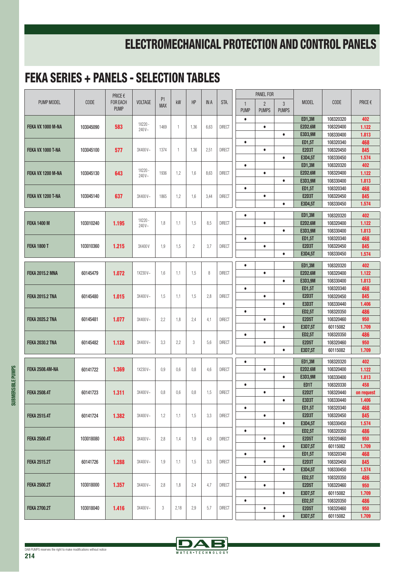|                        |             | PRICE €                 |                | P <sub>1</sub> |                |                |      |               |                             | PANEL FOR                      |                   |                                 |                        |              |
|------------------------|-------------|-------------------------|----------------|----------------|----------------|----------------|------|---------------|-----------------------------|--------------------------------|-------------------|---------------------------------|------------------------|--------------|
| PUMP MODEL             | <b>CODE</b> | FOR EACH<br><b>PUMP</b> | <b>VOLTAGE</b> | <b>MAX</b>     | kW             | HP             | IN A | STA.          | $\mathbf{1}$<br><b>PUMP</b> | $\overline{2}$<br><b>PUMPS</b> | 3<br><b>PUMPS</b> | <b>MODEL</b>                    | <b>CODE</b>            | PRICE €      |
|                        |             |                         | 1X220 -        |                |                |                |      |               | $\bullet$                   |                                |                   | <b>ED1,3M</b>                   | 108320320              | 402          |
| FEKA VX 1000 M-NA      | 103045090   | 583                     | 240V~          | 1469           | $\overline{1}$ | 1,36           | 6,63 | <b>DIRECT</b> |                             | $\bullet$                      |                   | <b>E2D2.6M</b>                  | 108320400              | 1.122        |
|                        |             |                         |                |                |                |                |      |               |                             |                                | $\bullet$         | E3D3,9M                         | 108330400              | 1.813        |
|                        |             |                         |                |                |                |                |      |               | $\bullet$                   |                                |                   | <b>ED1,5T</b>                   | 108320340              | 468          |
| FEKA VX 1000 T-NA      | 103045100   | 577                     | 3X400V~        | 1374           | $\mathbf{1}$   | 1,36           | 2,51 | <b>DIRECT</b> |                             | $\bullet$                      | $\bullet$         | <b>E2D3T</b><br>E3D4,5T         | 108320450<br>108330450 | 845<br>1.574 |
|                        |             |                         |                |                |                |                |      |               | $\bullet$                   |                                |                   | <b>ED1,3M</b>                   | 108320320              | 402          |
| FEKA VX 1200 M-NA      | 103045130   | 643                     | 1X220 -        | 1936           | 1,2            | 1,6            | 8,63 | <b>DIRECT</b> |                             | $\bullet$                      |                   | <b>E2D2.6M</b>                  | 108320400              | 1.122        |
|                        |             |                         | 240V~          |                |                |                |      |               |                             |                                | $\bullet$         | E3D3,9M                         | 108330400              | 1.813        |
|                        |             |                         |                |                |                |                |      |               | $\bullet$                   |                                |                   | <b>ED1,5T</b>                   | 108320340              | 468          |
| FEKA VX 1200 T-NA      | 103045140   | 637                     | 3X400V~        | 1865           | 1,2            | 1,6            | 3,44 | <b>DIRECT</b> |                             | $\bullet$                      |                   | <b>E2D3T</b>                    | 108320450              | 845          |
|                        |             |                         |                |                |                |                |      |               |                             |                                | $\bullet$         | E3D4,5T                         | 108330450              | 1.574        |
|                        |             |                         |                |                |                |                |      |               |                             |                                |                   |                                 |                        |              |
| <b>FEKA 1400 M</b>     | 103010240   | 1.195                   | 1X220 -        | 1,8            | 1,1            | 1,5            | 8,5  | <b>DIRECT</b> | $\bullet$                   | $\bullet$                      |                   | <b>ED1,3M</b><br><b>E2D2.6M</b> | 108320320<br>108320400 | 402<br>1.122 |
|                        |             |                         | 240V~          |                |                |                |      |               |                             |                                | $\bullet$         | E3D3,9M                         | 108330400              | 1.813        |
|                        |             |                         |                |                |                |                |      |               | $\bullet$                   |                                |                   | <b>ED1,5T</b>                   | 108320340              | 468          |
| <b>FEKA 1800 T</b>     | 103010360   | 1.215                   | 3X400V         | 1,9            | 1,5            | $\overline{c}$ | 3,7  | <b>DIRECT</b> |                             | $\bullet$                      |                   | <b>E2D3T</b>                    | 108320450              | 845          |
|                        |             |                         |                |                |                |                |      |               |                             |                                | $\bullet$         | E3D4,5T                         | 108330450              | 1.574        |
|                        |             |                         |                |                |                |                |      |               |                             |                                |                   |                                 |                        |              |
|                        |             |                         |                |                |                |                |      |               | $\bullet$                   |                                |                   | <b>ED1,3M</b>                   | 108320320              | 402          |
| <b>FEKA 2015.2 MNA</b> | 60145479    | 1.072                   | 1X230V~        | 1,6            | 1,1            | 1,5            | 8    | <b>DIRECT</b> |                             | $\bullet$                      |                   | <b>E2D2.6M</b>                  | 108320400              | 1.122        |
|                        |             |                         |                |                |                |                |      |               |                             |                                | $\bullet$         | E3D3,9M                         | 108330400              | 1.813        |
| <b>FEKA 2015.2 TNA</b> | 60145480    | 1.015                   | 3X400V~        | 1,5            | 1,1            | 1,5            | 2,8  | <b>DIRECT</b> | $\bullet$                   | $\bullet$                      |                   | <b>ED1,5T</b><br><b>E2D3T</b>   | 108320340<br>108320450 | 468<br>845   |
|                        |             |                         |                |                |                |                |      |               |                             |                                | $\bullet$         | <b>E3D3T</b>                    | 108330440              | 1.406        |
|                        |             |                         |                |                |                |                |      |               | $\bullet$                   |                                |                   | <b>ED2,5T</b>                   | 108320350              | 486          |
| <b>FEKA 2025.2 TNA</b> | 60145481    | 1.077                   | 3X400V~        | 2,2            | 1,8            | 2,4            | 4,1  | <b>DIRECT</b> |                             | $\bullet$                      |                   | <b>E2D5T</b>                    | 108320460              | 950          |
|                        |             |                         |                |                |                |                |      |               |                             |                                | $\bullet$         | E3D7,5T                         | 60115082               | 1.709        |
|                        |             |                         |                |                |                |                |      |               | $\bullet$                   |                                |                   | <b>ED2,5T</b>                   | 108320350              | 486          |
| <b>FEKA 2030.2 TNA</b> | 60145482    | 1.128                   | 3X400V~        | 3,3            | 2,2            | 3              | 5,6  | <b>DIRECT</b> |                             | $\bullet$                      |                   | <b>E2D5T</b>                    | 108320460              | 950          |
|                        |             |                         |                |                |                |                |      |               |                             |                                | $\bullet$         | E3D7,5T                         | 60115082               | 1.709        |
|                        |             |                         |                |                |                |                |      |               | $\bullet$                   |                                |                   | <b>ED1,3M</b>                   | 108320320              | 402          |
| <b>FEKA 2508.4M-NA</b> | 60141722    | 1.369                   | 1X230V~        | 0,9            | 0,6            | 0,8            | 4,6  | <b>DIRECT</b> |                             | $\bullet$                      |                   | <b>E2D2.6M</b>                  | 108320400              | 1.122        |
|                        |             |                         |                |                |                |                |      |               |                             |                                | $\bullet$         | E3D3,9M                         | 108330400              | 1.813        |
|                        |             |                         |                |                |                |                |      |               | $\bullet$                   |                                |                   | ED <sub>1</sub> T               | 108320330              | 458          |
| <b>FEKA 2508.4T</b>    | 60141723    | 1.311                   | 3X400V~        | 0,8            | 0,6            | 0,8            | 1,5  | <b>DIRECT</b> |                             | $\bullet$                      |                   | <b>E2D2T</b>                    | 108320440              | on request   |
|                        |             |                         |                |                |                |                |      |               |                             |                                | $\bullet$         | <b>E3D3T</b>                    | 108330440              | 1.406        |
|                        |             |                         |                |                |                |                |      |               | $\bullet$                   |                                |                   | <b>ED1,5T</b>                   | 108320340              | 468          |
| <b>FEKA 2515.4T</b>    | 60141724    | 1.382                   | 3X400V~        | 1,2            | 1,1            | 1,5            | 3,3  | <b>DIRECT</b> |                             | $\bullet$                      |                   | <b>E2D3T</b>                    | 108320450              | 845          |
|                        |             |                         |                |                |                |                |      |               | $\bullet$                   |                                | $\bullet$         | E3D4,5T<br><b>ED2,5T</b>        | 108330450<br>108320350 | 1.574<br>486 |
| <b>FEKA 2500.4T</b>    | 103018080   | 1.463                   | 3X400V~        | 2,8            | 1,4            | 1,9            | 4,9  | <b>DIRECT</b> |                             | $\bullet$                      |                   | <b>E2D5T</b>                    | 108320460              | 950          |
|                        |             |                         |                |                |                |                |      |               |                             |                                | $\bullet$         | E3D7,5T                         | 60115082               | 1.709        |
|                        |             |                         |                |                |                |                |      |               | $\bullet$                   |                                |                   | <b>ED1,5T</b>                   | 108320340              | 468          |
| <b>FEKA 2515.2T</b>    | 60141726    | 1.288                   | 3X400V~        | 1,9            | 1,1            | 1,5            | 3,3  | <b>DIRECT</b> |                             | $\bullet$                      |                   | <b>E2D3T</b>                    | 108320450              | 845          |
|                        |             |                         |                |                |                |                |      |               |                             |                                | $\bullet$         | E3D4,5T                         | 108330450              | 1.574        |
|                        |             |                         |                |                |                |                |      |               | $\bullet$                   |                                |                   | <b>ED2,5T</b>                   | 108320350              | 486          |
| <b>FEKA 2500.2T</b>    | 103018000   | 1.357                   | 3X400V~        | 2,8            | 1,8            | 2,4            | 4,7  | <b>DIRECT</b> |                             | $\bullet$                      |                   | <b>E2D5T</b>                    | 108320460              | 950          |
|                        |             |                         |                |                |                |                |      |               |                             |                                | $\bullet$         | E3D7,5T                         | 60115082               | 1.709        |
|                        |             |                         |                |                |                |                |      |               | $\bullet$                   |                                |                   | <b>ED2,5T</b>                   | 108320350              | 486          |
| <b>FEKA 2700.2T</b>    | 103018040   | 1.416                   | 3X400V~        | 3              | 2,18           | 2,9            | 5,7  | <b>DIRECT</b> |                             | $\bullet$                      |                   | <b>E2D5T</b>                    | 108320460              | 950          |
|                        |             |                         |                |                |                |                |      |               |                             |                                | $\bullet$         | E3D7,5T                         | 60115082               | 1.709        |

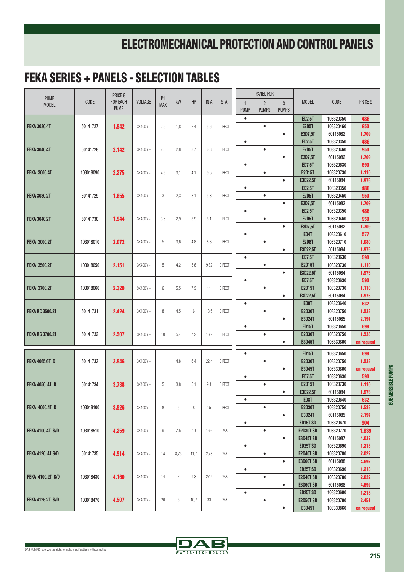| <b>PUMP</b>              | <b>CODE</b> | PRICE€<br><b>FOR EACH</b><br><b>PUMP</b> | <b>VOLTAGE</b> | P <sub>1</sub><br><b>MAX</b> | kW             | HP   | <b>IN A</b> | STA.          |                             | <b>PANEL FOR</b>               |                              |                                |                        |                |
|--------------------------|-------------|------------------------------------------|----------------|------------------------------|----------------|------|-------------|---------------|-----------------------------|--------------------------------|------------------------------|--------------------------------|------------------------|----------------|
| <b>MODEL</b>             |             |                                          |                |                              |                |      |             |               | $\mathbf{1}$<br><b>PUMP</b> | $\overline{2}$<br><b>PUMPS</b> | $\mathbf{3}$<br><b>PUMPS</b> | <b>MODEL</b>                   | <b>CODE</b>            | PRICE €        |
|                          |             |                                          |                |                              |                |      |             |               | $\bullet$                   |                                |                              | <b>ED2,5T</b>                  | 108320350              | 486            |
| <b>FEKA 3030.4T</b>      | 60141727    | 1.942                                    | 3X400V~        | 2,5                          | 1,8            | 2,4  | 5,6         | <b>DIRECT</b> |                             | $\bullet$                      |                              | <b>E2D5T</b>                   | 108320460              | 950            |
|                          |             |                                          |                |                              |                |      |             |               |                             |                                | $\bullet$                    | E3D7,5T                        | 60115082               | 1.709          |
|                          |             |                                          |                |                              |                |      |             |               | $\bullet$                   |                                |                              | <b>ED2,5T</b>                  | 108320350              | 486            |
| <b>FEKA 3040.4T</b>      | 60141728    | 2.142                                    | 3X400V~        | 2,8                          | 2,8            | 3,7  | 6,3         | <b>DIRECT</b> |                             | $\bullet$                      |                              | <b>E2D5T</b>                   | 108320460              | 950            |
|                          |             |                                          |                |                              |                |      |             |               |                             |                                | $\bullet$                    | E3D7,5T                        | 60115082               | 1.709          |
| <b>FEKA 3000.4T</b>      | 103018090   |                                          |                |                              | 3,1            | 4,1  | 9,5         |               | $\bullet$                   | $\bullet$                      |                              | <b>ED7,5T</b><br><b>E2D15T</b> | 108320630<br>108320730 | 590            |
|                          |             | 2.275                                    | 3X400V~        | 4,6                          |                |      |             | <b>DIRECT</b> |                             |                                | $\bullet$                    | E3D22,5T                       | 60115084               | 1.110<br>1.976 |
|                          |             |                                          |                |                              |                |      |             |               | $\bullet$                   |                                |                              | <b>ED2,5T</b>                  | 108320350              | 486            |
| <b>FEKA 3030.2T</b>      | 60141729    | 1.855                                    | 3X400V~        | 3                            | 2,3            | 3,1  | 5,3         | <b>DIRECT</b> |                             | $\bullet$                      |                              | <b>E2D5T</b>                   | 108320460              | 950            |
|                          |             |                                          |                |                              |                |      |             |               |                             |                                | $\bullet$                    | E3D7,5T                        | 60115082               | 1.709          |
|                          |             |                                          |                |                              |                |      |             |               | $\bullet$                   |                                |                              | <b>ED2,5T</b>                  | 108320350              | 486            |
| <b>FEKA 3040.2T</b>      | 60141730    | 1.944                                    | 3X400V~        | 3,5                          | 2.9            | 3,9  | 6,1         | <b>DIRECT</b> |                             | $\bullet$                      |                              | <b>E2D5T</b>                   | 108320460              | 950            |
|                          |             |                                          |                |                              |                |      |             |               |                             |                                | $\bullet$                    | E3D7,5T                        | 60115082               | 1.709          |
|                          |             |                                          | 3X400V~        | 5                            | 3,6            | 4,8  |             |               | $\bullet$                   |                                |                              | ED4T                           | 108320610              | 577            |
| <b>FEKA 3000.2T</b>      | 103018010   | 2.072                                    |                |                              |                |      | 8,8         | <b>DIRECT</b> |                             | $\bullet$                      |                              | <b>E2D8T</b>                   | 108320710              | 1.080          |
|                          |             |                                          |                |                              |                |      |             |               |                             |                                | $\bullet$                    | E3D22,5T                       | 60115084               | 1.976          |
|                          |             |                                          |                |                              |                |      |             |               | $\bullet$                   |                                |                              | <b>ED7,5T</b>                  | 108320630              | 590            |
| <b>FEKA 3500.2T</b>      | 103018050   | 2.151                                    | $3X400V -$     | 5                            | 4,2            | 5,6  | 9,82        | <b>DIRECT</b> |                             | $\bullet$                      |                              | <b>E2D15T</b>                  | 108320730              | 1.110          |
|                          |             |                                          |                |                              |                |      |             |               |                             |                                | $\bullet$                    | E3D22,5T                       | 60115084               | 1.976          |
|                          | 103018060   |                                          | 3X400V~        | 6                            | 5,5            | 7,3  | 11          | <b>DIRECT</b> | $\bullet$                   |                                |                              | <b>ED7,5T</b>                  | 108320630              | 590            |
| <b>FEKA 3700.2T</b>      |             | 2.329                                    |                |                              |                |      |             |               |                             | $\bullet$                      |                              | <b>E2D15T</b>                  | 108320730              | 1.110          |
|                          |             |                                          |                |                              |                |      |             |               |                             |                                | $\bullet$                    | E3D22,5T                       | 60115084               | 1.976          |
| <b>FEKA RC 3500.2T</b>   | 60141731    | 2.424                                    |                | 8                            | 4,5            | 6    | 13,5        |               | $\bullet$                   |                                |                              | ED8T                           | 108320640              | 632            |
|                          |             |                                          | 3X400V~        |                              |                |      |             | <b>DIRECT</b> |                             | $\bullet$                      |                              | <b>E2D30T</b>                  | 108320750              | 1.533          |
|                          |             |                                          |                |                              |                |      |             |               |                             |                                | $\bullet$                    | <b>E3D24T</b>                  | 60115085               | 2.197          |
| <b>FEKA RC 3700.2T</b>   | 60141732    | 2.507                                    | 3X400V~        | 10                           | 5,4            | 7,2  | 16,2        | <b>DIRECT</b> | $\bullet$                   |                                |                              | <b>ED15T</b>                   | 108320650              | 698            |
|                          |             |                                          |                |                              |                |      |             |               |                             | $\bullet$                      |                              | <b>E2D30T</b>                  | 108320750              | 1.533          |
|                          |             |                                          |                |                              |                |      |             |               |                             |                                | $\bullet$                    | E3D45T                         | 108330860              | on request     |
|                          | 60141733    | 3.946                                    |                | 11                           | 4,8            |      |             |               | $\bullet$                   |                                |                              | <b>ED15T</b>                   | 108320650              | 698            |
| <b>FEKA 4065.6T D</b>    |             |                                          | 3X400V~        |                              |                | 6,4  | 22,4        | <b>DIRECT</b> |                             | $\bullet$                      |                              | <b>E2D30T</b>                  | 108320750              | 1.533          |
|                          |             |                                          |                |                              |                |      |             |               |                             |                                | $\bullet$                    | E3D45T                         | 108330860              | on request     |
|                          | 60141734    |                                          |                | 5                            | 3,8            | 5,1  |             |               | $\bullet$                   |                                |                              | <b>ED7,5T</b>                  | 108320630              | 590            |
| <b>FEKA 4050, 4T D</b>   |             | 3.738                                    | 3X400V~        |                              |                |      | 9,1         | <b>DIRECT</b> |                             | $\bullet$                      |                              | <b>E2D15T</b>                  | 108320730              | 1.110          |
|                          |             |                                          |                |                              |                |      |             |               |                             |                                | $\bullet$                    | E3D22,5T                       | 60115084               | 1.976          |
| <b>FEKA 4000.4T D</b>    | 103018100   |                                          |                | 8                            | 6              |      |             |               | $\bullet$                   |                                |                              | ED8T                           | 108320640              | 632            |
|                          |             | 3.926                                    | 3X400V~        |                              |                | 8    | 15          | <b>DIRECT</b> |                             | $\bullet$                      | $\bullet$                    | <b>E2D30T</b>                  | 108320750<br>60115085  | 1.533          |
|                          |             |                                          |                |                              |                |      |             |               | $\bullet$                   |                                |                              | <b>E3D24T</b><br>ED15T SD      | 108320670              | 2.197<br>904   |
| <b>FEKA 4100.4T S/D</b>  | 103018510   | 4.259                                    | 3X400V~        | $\boldsymbol{9}$             | 7,5            | 10   | 16,6        | $Y/\Delta$    |                             | $\bullet$                      |                              | <b>E2D30T SD</b>               | 108320770              | 1.839          |
|                          |             |                                          |                |                              |                |      |             |               |                             |                                | $\bullet$                    | <b>E3D45T SD</b>               | 60115087               | 4.032          |
|                          |             |                                          |                |                              |                |      |             |               | $\bullet$                   |                                |                              | <b>ED25T SD</b>                | 108320690              | 1.218          |
| <b>FEKA 4120. 4T S/D</b> | 60141735    | 4.914                                    | 3X400V~        | 14                           | 8,75           | 11,7 | 25,8        | $Y/\Delta$    |                             | $\bullet$                      |                              | <b>E2D40T SD</b>               | 108320780              | 2.022          |
|                          |             |                                          |                |                              |                |      |             |               |                             |                                | $\bullet$                    | <b>E3D60T SD</b>               | 60115088               | 4.692          |
| <b>FEKA 4100.2T S/D</b>  | 103018430   | 4.160                                    | 3X400V~        | 14                           | $\overline{7}$ | 9,3  | 27,4        | $Y/\Delta$    | $\bullet$                   |                                |                              | <b>ED25T SD</b>                | 108320690              | 1.218          |
|                          |             |                                          |                |                              |                |      |             |               |                             | $\bullet$                      |                              | <b>E2D40T SD</b>               | 108320780              | 2.022          |
|                          |             |                                          |                |                              |                |      |             |               |                             |                                | $\bullet$                    | <b>E3D60T SD</b>               | 60115088               | 4.692          |
|                          |             |                                          |                |                              |                |      |             |               | $\bullet$                   |                                |                              | <b>ED25T SD</b>                | 108320690              | 1.218          |
| <b>FEKA 4125.2T S/D</b>  | 103018470   | 4.507                                    | 3X400V~        | 20                           | 8              | 10,7 | 33          | $Y/\Delta$    |                             | $\bullet$                      |                              | <b>E2D50T SD</b>               | 108320790              | 2.451          |
|                          |             |                                          |                |                              |                |      |             |               |                             |                                | $\bullet$                    | E3D45T                         | 108330860              | on request     |